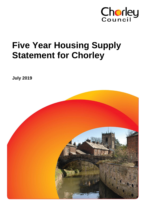

# **Five Year Housing Supply Statement for Chorley**

**July 2019**

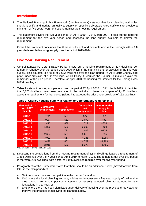# **Introduction**

- 1. The National Planning Policy Framework (the Framework) sets out that local planning authorities should identify and update annually a supply of specific deliverable sites sufficient to provide a minimum of five years' worth of housing against their housing requirement.
- 2. This statement covers the five year period  $1<sup>st</sup>$  April 2019 31<sup>st</sup> March 2024. It sets out the housing requirement for the five year period and assesses the land supply available to deliver the requirement.
- 3. Overall the statement concludes that there is sufficient land available across the Borough with a **9.0 year deliverable housing supply** over the period 2019-2024.

# **Five Year Housing Requirement**

- 4. Central Lancashire Core Strategy Policy 4 sets out a housing requirement of 417 dwellings per annum in Chorley over the period 2010-2026 which is the starting point for calculating the five year supply. This equates to a total of 6,672 dwellings over the plan period. At April 2010 Chorley had prior under-provision of 162 dwellings, which Policy 4 requires the Council to make up over the remainder of the plan period. Therefore, at April 2010 the housing requirement for the Borough was 6,834 dwellings.
- 5. Table 1 sets out housing completions over the period 1<sup>st</sup> April 2010 to 31<sup>st</sup> March 2019. It identifies that 5,370 dwellings have been completed in the period and there is a surplus of 1,455 dwellings above the requirement for that period (taking into account the prior under-provision of 162 dwellings).

| Plan period (1 <sup>st</sup><br>April-31 <sup>st</sup><br>March) | <b>Cumulative</b><br>requirement | <b>Net</b><br>completions | <b>Cumulative</b><br>net<br>completions | Over or under<br>supply to<br>date |
|------------------------------------------------------------------|----------------------------------|---------------------------|-----------------------------------------|------------------------------------|
| 2010/11                                                          | 579*                             | 527                       | 527                                     | $-52$                              |
| 2011/12                                                          | 996                              | 552                       | 1,079                                   | $+83$                              |
| 2012/13                                                          | 1,413                            | 638                       | 1,717                                   | $+304$                             |
| 2013/14                                                          | 1,830                            | 582                       | 2,299                                   | $+469$                             |
| 2014/15                                                          | 2,247                            | 723                       | 3,022                                   | $+775$                             |
| 2015/16                                                          | 2,664                            | 597                       | 3,619                                   | $+955$                             |
| 2016/17                                                          | 3,081                            | 517                       | 4,136                                   | $+1,055$                           |
| 2017/18                                                          | 3,498                            | 661                       | 4,797                                   | $+1,299$                           |
| 2018/19                                                          | 3,915                            | 573                       | 5,370                                   | $+1,455$                           |

**Table 1: Chorley housing supply in relation to Core Strategy requirements**

\*417+162 under-provision at April 2010

- 6. Deducting the completions from the housing requirement of 6,834 dwellings leaves a requirement of 1,464 dwellings over the 7 year period April 2019 to March 2026. The annual target over this period is therefore 209 dwellings, with a total of 1,045 dwellings required over the five year period.
- 7. Paragraph 73 of the Framework states that there should be an additional buffer (moved forward from later in the plan period) of:
	- a) 5% to ensure choice and competition in the market for land; or
	- b) 10% where the local planning authority wishes to demonstrate a five year supply of deliverable sites through an annual position statement or recently adopted plan, to account for any fluctuations in that year; or
	- c) 20% where there has been significant under delivery of housing over the previous three years, to improve the prospect of achieving the planned supply.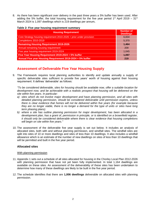8. As there has been significant over delivery in the past three years a 5% buffer has been used. After adding the 5% buffer, the total housing requirement for the five year period 1<sup>st</sup> April 2019 – 31<sup>st</sup> March 2024 is 1,097 dwellings which is 219 dwellings per annum**.**

#### **Table 2: Five year housing requirement summary**

| <b>Housing Requirement</b>                                          | <b>Number of</b><br><b>Dwellings</b> |
|---------------------------------------------------------------------|--------------------------------------|
| Core Strategy housing requirement 2010-2026 + prior under provision | 6,834                                |
| Completions 2010-2019                                               | 5,370                                |
| <b>Remaining Housing Requirement 2019-2026</b>                      | 1,464                                |
| Annual remaining housing requirement                                | 209                                  |
| Five year housing requirement 2019-2024                             | 1,045                                |
| Five Year Housing Requirement 2019-2024 + 5% buffer                 | 1,097                                |
| Annual Five year Housing Requirement 2019-2024 + 5% buffer          | 219                                  |

# **Assessment of Deliverable Five Year Housing Supply**

9. The Framework requires local planning authorities to identify and update annually a supply of specific deliverable sites sufficient to provide five years' worth of housing against their housing requirement. It defines 'deliverable' as follows:

*"To be considered deliverable, sites for housing should be available now, offer a suitable location for*  development now, and be achievable with a realistic prospect that housing will be delivered on the *site within five years. In particular:*

- *a) sites which do not involve major development and have planning permission, and all sites with detailed planning permission, should be considered deliverable until permission expires, unless there is clear evidence that homes will not be delivered within five years (for example because they are no longer viable, there is no longer a demand for the type of units or sites have long term phasing plans).*
- *b) where a site has outline planning permission for major development, has been allocated in a development plan, has a grant of, permission in principle, or is identified on a brownfield register, it should only be considered deliverable where there is clear evidence that housing completions will begin on site within five years."*
- 10. The assessment of the deliverable five year supply is set out below. It includes an analysis of allocated sites, both with and without planning permission, and windfall sites. The windfall sites are split into sites of 10 or more dwellings and sites of less than 10 dwellings. It also includes a windfall allowance which is an estimate of the number of new dwellings on sites of less than 10 dwellings that will be permitted and built in the five year period.

#### **Allocated sites**

#### With planning permission

- 11. Appendix 1 sets out a schedule of all sites allocated for housing in the Chorley Local Plan 2012-2026 with planning permission that have not yet been fully implemented. In total 1,164 dwellings are available on these sites. An assessment of the deliverability of these sites has been undertaken to determine how many of these dwellings are likely to be built in the five year period.
- 12. The schedule identifies that there are **1,006 dwellings** deliverable on allocated sites with planning permission.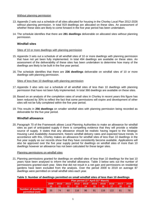#### Without planning permission

- 13. Appendix 2 sets out a schedule of all sites allocated for housing in the Chorley Local Plan 2012-2026 without planning permission. In total 919 dwellings are allocated on these sites. An assessment of whether these sites are likely to come forward in the five year period has been undertaken.
- 14. The schedule identifies that there are **281 dwellings** deliverable on allocated sites without planning permission.

#### **Windfall sites**

#### Sites of 10 or more dwellings with planning permission

- 15. Appendix 3 sets out a schedule of all windfall sites of 10 or more dwellings with planning permission that have not yet been fully implemented. In total 494 dwellings are available on these sites. An assessment of the deliverability of these sites has been undertaken to determine how many of the dwellings are likely to be built in the five year period.
- 16. The schedule identifies that there are **236 dwellings** deliverable on windfall sites of 10 or more dwellings with planning permission.

#### Sites of less than 10 dwellings with planning permission

- 17. Appendix 3 also sets out a schedule of all windfall sites of less than 10 dwellings with planning permission that have not been fully implemented. In total 366 dwellings are available on these sites.
- 18. Based on an analysis of the completion rates of small sites in Chorley in recent years this figure has been reduced by 30% to reflect the fact that some permissions will expire and development of other sites will not be fully completed within the five year period.
- 19. This results in **256 dwellings** on smaller windfall sites with planning permission being recorded as deliverable for the five year period.

#### **Windfall allowance**

20. Paragraph 70 of the Framework allows Local Planning Authorities to make an allowance for windfall sites as part of anticipated supply if there is compelling evidence that they will provide a reliable source of supply. It states that any allowance should be realistic having regard to the Strategic Housing Land Availability Assessment, historic windfall delivery rates and expected future trends. In accordance with this, Chorley makes an allowance for windfall sites of less than 10 dwellings in the five year supply as our records show that they have consistently become available. Applications will also be approved over the five year supply period for dwellings on windfall sites of more than 10 dwellings however an allowance has not been calculated for these larger sites.

#### Planning permissions on windfall sites

21. Planning permissions granted for dwellings on windfall sites of less than 10 dwellings for the last 10 years have been analysed to inform the windfall allowance. Table 3 below sets out the number of permissions granted each year. Sites that did not result in a net gain and permissions on residential gardens have been excluded from the analysis. Over the period 2009 to 2019 on average 87 dwellings were permitted on small windfall sites each year.

#### **Table 3: Number of dwellings permitted on small windfall sites of less than 10 dwellings**

|                                               | -           |       |       |                                                            |             |      |                     |       |             |             |
|-----------------------------------------------|-------------|-------|-------|------------------------------------------------------------|-------------|------|---------------------|-------|-------------|-------------|
|                                               |             |       |       | Plan period (1 <sup>st</sup> April-31 <sup>st</sup> March) |             |      |                     |       |             |             |
|                                               | 2009/<br>10 | 2010/ | 2011/ | 2012/                                                      | 2013/<br>14 | /15/ | $2014/$ 2015/<br>16 | 2016/ | 2017/<br>18 | 2018/<br>19 |
| <b>Number of dwellings</b><br>permitted (net) | 35          | 74.   | 60    | 116                                                        | 96          | 91   | 116                 |       |             | 78          |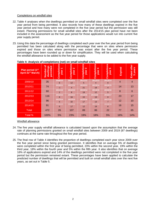#### Completions on windfall sites

- 22. Table 4 analyses when the dwellings permitted on small windfall sites were completed over the five year period from being permitted. It also records how many of these dwellings expired in the five year period and how many were not completed in the five year period but the permission was still extant. Planning permissions for small windfall sites after the 2014/15 plan period have not been included in the assessment as the five year period for those applications would run into current five year supply period.
- 23. Using this data the percentage of dwellings completed each year over the five year period from being permitted has been calculated along with the percentage that were on sites where permission expired and those on sites where permission was extant after the five year period. These percentages have been rounded up or down for simplification. They will be used when calculating the windfall allowance to be added to the five year supply.

| Plan period (1 <sup>st</sup><br>April-31 <sup>st</sup> March) | চ<br>permitted<br>dwellings<br>Number | Completions<br>$\overline{\phantom{0}}$<br>year | Completions<br>$\mathbf{\tilde{z}}$<br>year | Completions<br>က<br>year | Completions<br>4<br>year | Completions<br>5<br>year | Expired | Extant after<br>years<br>ဖာ |
|---------------------------------------------------------------|---------------------------------------|-------------------------------------------------|---------------------------------------------|--------------------------|--------------------------|--------------------------|---------|-----------------------------|
| 2009/10                                                       | 35                                    | 2009/10<br>6                                    | 2010/11<br>12                               | 2011/12<br>5             | 2012/13<br>4             | 2013/14<br>$\Omega$      | 4       | 4                           |
| 2010/11                                                       | 74                                    | 2010/11<br>-1                                   | 2011/12<br>4                                | 2012/13<br>21            | 2013/14<br>19            | 2014/15<br>4             | 14      | 13                          |
| 2011/12                                                       | 60                                    | 2011/12<br>2                                    | 2012/13<br>8                                | 2013/14<br>19            | 2014/15<br>12            | 2015/16<br>5             | 8       | 6                           |
| 2012/13                                                       | 116                                   | 2012/13<br>8                                    | 2013/14<br>34                               | 2014/15<br>15            | 2015/16<br>19            | 2016/17<br>$\Omega$      | 23      | 17                          |
| 2013/14                                                       | 96                                    | 2013/14<br>5                                    | 2014/15<br>32                               | 2015/16<br>17            | 2016/17<br>13            | 2017/18<br>7             | 12      | 10                          |
| 2014/15                                                       | 91                                    | 2014/15<br>6                                    | 2015/16<br>17                               | 2016/17<br>12            | 2017/18<br>19            | 2018/19<br>6             | 16      | 15                          |
| Total                                                         | 472                                   | 26                                              | 107                                         | 89                       | 86                       | 22                       | 77      | 65                          |
| Total %                                                       | 100%                                  | 5%                                              | 23%                                         | 19%                      | 18%                      | 5%                       | 16%     | 14%                         |

#### **Table 4: Analysis of completions (net) on small windfall sites**

Windfall allowance

- 24. The five year supply windfall allowance is calculated based upon the assumption that the average rate of planning permissions granted on small windfall sites between 2009 and 2019 (87 dwellings) continues at the same rate throughout the five year period.
- 25. The final row of Table 4 identifies the proportion of dwellings completed each year since 2009 over the five year period since being granted permission. It identifies that on average 5% of dwellings were completed within the first year of being permitted, 23% within the second year, 19% within the third year, 18% within the fourth year and 5% within the fifth year. It also identifies that on average 16% of applications expired and 14% of the dwellings permitted were not completed in the five year period but the permission remained extant. These percentages have been applied to calculate the predicted number of dwellings that will be permitted and built on small windfall sites over the next five years, as set out in Table 5.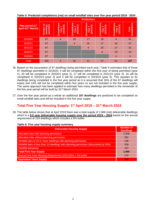| Taple of Fromotod completions (flee) on omail willdrain oftes over five your perfour 2010 |                                              |                                 |                                              |                                      |                                      |                                              |                                    |
|-------------------------------------------------------------------------------------------|----------------------------------------------|---------------------------------|----------------------------------------------|--------------------------------------|--------------------------------------|----------------------------------------------|------------------------------------|
|                                                                                           |                                              |                                 |                                              | <b>Predictions</b>                   |                                      |                                              |                                    |
| Plan period (1 <sup>st</sup><br><b>April-31st March)</b>                                  | ৳<br>dwellings<br>permitted<br><b>Number</b> | Completions<br>(2019/20)<br>ear | Completions<br>(2020/21)<br>2<br><b>Year</b> | Completions<br>(2021/22)<br>S<br>ear | Completions<br>(2022/23)<br>4<br>ear | Completions<br>(2023/24)<br>ear <sub>5</sub> | <b>Completions</b><br><b>Total</b> |
| 2019/20                                                                                   | 87                                           | 4                               | 20                                           | 17                                   | 16                                   | $\overline{4}$                               | 61                                 |
| 2020/21                                                                                   | 87                                           |                                 | $\overline{4}$                               | 20                                   | 17                                   | 16                                           | 57                                 |
| 2021/22                                                                                   | 87                                           |                                 |                                              | 4                                    | 20                                   | 17                                           | 41                                 |
| 2022/23                                                                                   | 87                                           |                                 |                                              |                                      | 4                                    | 20                                           | 24                                 |
| 2023/24                                                                                   | 87                                           |                                 |                                              |                                      |                                      | $\overline{4}$                               | 4                                  |
| <b>Total</b>                                                                              | 435                                          | 4                               | 24                                           | 41                                   | 57                                   | 61                                           | 187                                |

**Table 5: Predicted completions (net) on small windfall sites over five year period 2019 - 2024**

- 26. Based on the assumption of 87 dwellings being permitted each year, Table 5 estimates that of those 87 dwellings permitted in 2019/20, 4 will be completed within the first year of being permitted (year 1), 20 will be completed in 2020/21 (year 2), 17 will be completed in 2021/22 (year 3), 16 will be completed in 2022/23 (year 4) and 4 will be completed in 2023/24 (year 5). This equates to 61 dwellings being completed in the five year period as it is assumed that 16% of the 87 dwellings will expire and 14% will not be completed within five years so are not included in the five year supply. The same approach has been applied to estimate how many dwellings permitted in the remainder of the five year period will be built by 31<sup>st</sup> March 2024.
- 27. Over the five year period as a whole an additional **187 dwellings** are predicted to be completed on small windfall sites and will be included in the five year supply.

# **Total Five Year Housing Supply: 1 st April 2019 – 31st March 2024**

28. The table below shows that at April 2019 there was a total supply of 1,966 (net) deliverable dwellings which is a **9.0 year deliverable housing supply over the period 2019 – 2024** based on the annual requirement of 219 dwellings which includes a 5% buffer.

| <b>Deliverable Housing Supply</b>                                                     | <b>Number of</b><br><b>Dwellings</b> |
|---------------------------------------------------------------------------------------|--------------------------------------|
| Allocated sites with planning permission                                              | 1,006                                |
| Allocated sites without planning permission                                           | 281                                  |
| Windfall sites of 10 or more dwellings with planning permission                       | 236                                  |
| Windfall sites of less than 10 dwellings with planning permission (discounted by 30%) | 256                                  |
| <b>Windfall allowance</b>                                                             | 187                                  |
| <b>Total Five Year Supply</b>                                                         | 1,966                                |
| Annual Five Year Housing Requirement 2019-2024 + 5% buffer                            | 219                                  |
| <b>Equivalent Years Supply</b>                                                        | 9.0                                  |

#### **Table 6: Five year housing supply summary**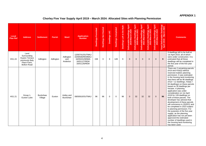#### **APPENDIX 1**

# **Chorley Five Year Supply April 2019 – March 2024: Allocated Sites with Planning Permission**

| Local<br><b>Plan Ref</b> | <b>Address</b>                                                                                | <b>Settlement</b>          | <b>Parish</b> | Ward                          | <b>Application</b><br><b>Number</b>                                                 | <b>Dwellings Permitted</b> | <b>Dwellings Not Started</b> | Dwellings U/C | <b>Dwellings Completed</b> | Dwellings Left to Be Built | Deliverable Dwellings April<br>2019-March 2020 | Dwellings April<br>larch 2021<br>Deliverable Dwell<br>2020-March | le Dwellings April<br>-March 2022<br>Deliverable D<br>2021-Ma | Deliverable Dwellings April<br>2022-March 2023 | Deliverable Dwellings April<br>2023-March 2024 | Total Deliverable Dwellings<br>April 2019 - March 2024 | <b>Comments</b>                                                                                                                                                                                                                                                                                                                                                                                                                                                                                                                                                                                                                                                                                                                                                                                             |
|--------------------------|-----------------------------------------------------------------------------------------------|----------------------------|---------------|-------------------------------|-------------------------------------------------------------------------------------|----------------------------|------------------------------|---------------|----------------------------|----------------------------|------------------------------------------------|------------------------------------------------------------------|---------------------------------------------------------------|------------------------------------------------|------------------------------------------------|--------------------------------------------------------|-------------------------------------------------------------------------------------------------------------------------------------------------------------------------------------------------------------------------------------------------------------------------------------------------------------------------------------------------------------------------------------------------------------------------------------------------------------------------------------------------------------------------------------------------------------------------------------------------------------------------------------------------------------------------------------------------------------------------------------------------------------------------------------------------------------|
| <b>HS1.24</b>            | Land<br>Surrounding<br>Huyton Terrace<br>previously Baly<br>Place Farm,<br><b>Bolton Road</b> | Adlington                  | Adlington     | Adlington<br>and<br>Anderton  | 12/00741/OUTMAJ<br>15/00506/REMMAJ<br>16/00431/MNMA<br>16/01127/REM<br>16/01126/REM | 158                        | $\mathbf 0$                  | 9             | 149                        | 9                          | 9                                              | $\mathbf{0}$                                                     | $\mathbf{0}$                                                  | $\overline{0}$                                 | $\overline{0}$                                 | 9                                                      | 9 dwellings left to be built at<br>1st April 2019, all of which<br>were under construction. It is<br>estimated that all these<br>dwellings will be completed in<br>the first year of the five year<br>period.                                                                                                                                                                                                                                                                                                                                                                                                                                                                                                                                                                                               |
| HS1.21                   | Group 1,<br>Euxton Lane                                                                       | <b>Buckshaw</b><br>Village | Euxton        | Astley and<br><b>Buckshaw</b> | 08/00910/OUTMAJ                                                                     | 96                         | 96                           | $\mathbf 0$   | $\mathbf 0$                | 96                         | $\mathbf{0}$                                   | 32                                                               | 32                                                            | 32                                             | $\mathbf 0$                                    | 96                                                     | There are 2 remaining parcels<br>(H1d and H1b(i)) without<br>reserved matters planning<br>permission. It was estimated<br>in the housing land monitoring<br>that there will be 96 dwellings<br>$(H1d = 12$ dwellings, $H1b(i) =$<br>84 dwellings) on these parcels<br>based on 35 dwellings per<br>hectare. A planning<br>application was under<br>consideration on 1st April<br>2019 for 128 dwellings on<br>both of these parcels. The<br>developer has advised that<br>development of these parcels<br>will commence in 2020/21 and<br>be completed in 2023 subject<br>to planning permission. For<br>the purposes of the five year<br>supply, as the planning<br>application has not yet been<br>approved the estimated<br>number of dwellings used in<br>the housing land monitoring<br>has been used. |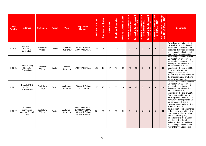| Local<br>Plan Ref | <b>Address</b>                                           | <b>Settlement</b>          | <b>Parish</b> | <b>Ward</b>                   | <b>Application</b><br><b>Number</b>                                      | <b>Dwellings Permitted</b> | <b>Dwellings Not Started</b> | Dwellings U/C | Dwellings Completed | Dwellings Left to Be Built | Dwellings April<br>Iarch 2020<br>Deliverable Dwell<br>2019-March | Deliverable Dwellings April<br>2020-March 2021 | Deliverable Dwellings April<br>2021-March 2022 | Deliverable Dwellings April<br>2022-March 2023 | Dwellings April<br>larch 2024<br>Deliverable Dwelli<br>2023-March 2 | Total Deliverable Dwellings<br>April 2019 - March 2024 | <b>Comments</b>                                                                                                                                                                                                                                                                                                                                                                                                                                                            |
|-------------------|----------------------------------------------------------|----------------------------|---------------|-------------------------------|--------------------------------------------------------------------------|----------------------------|------------------------------|---------------|---------------------|----------------------------|------------------------------------------------------------------|------------------------------------------------|------------------------------------------------|------------------------------------------------|---------------------------------------------------------------------|--------------------------------------------------------|----------------------------------------------------------------------------------------------------------------------------------------------------------------------------------------------------------------------------------------------------------------------------------------------------------------------------------------------------------------------------------------------------------------------------------------------------------------------------|
| HS1.21            | Parcel H1c,<br>Group 1,<br>Euxton Lane                   | <b>Buckshaw</b><br>Village | Euxton        | Astley and<br><b>Buckshaw</b> | 15/01037/REMMAJ<br>16/00999/REMMAJ                                       | 166                        | $\mathbf 0$                  | 2             | 164                 | $\overline{2}$             | $\overline{2}$                                                   | $\mathbf 0$                                    | $\Omega$                                       | $\Omega$                                       | $\mathbf 0$                                                         | $\overline{2}$                                         | 2 dwellings left to be built at<br>1st April 2019, both of which<br>were under construction. It is<br>estimated that these dwellings<br>will be completed in the first<br>year of the five year period.                                                                                                                                                                                                                                                                    |
| HS1.21            | Parcel H1b(ii),<br>Group 1,<br>Euxton Lane               | <b>Buckshaw</b><br>Village | Euxton        | Astley and<br><b>Buckshaw</b> | 17/00767/REMMAJ                                                          | 125                        | 15                           | 67            | 43                  | 82                         | 70                                                               | 12                                             | $\mathbf{0}$                                   | $\mathbf{0}$                                   | $\mathbf{0}$                                                        | 82                                                     | 82 dwellings left to be built at<br>1st April 2019, 67 of which<br>were under construction. The<br>developer has advised that<br>the development will be<br>complete by the end of 2020.<br>They also advised that<br>completion rates will be<br>around 70 dwellings a year as<br>the affordable units are being<br>run as a separate site.                                                                                                                               |
| HS1.21            | Parcels M1 &<br>H1a, Group 1,<br>Euxton Lane             | <b>Buckshaw</b><br>Village | Euxton        | Astley and<br><b>Buckshaw</b> | 17/00441/REMMAJ<br>17/01123/REM                                          | 160                        | 18                           | 92            | 50                  | 110                        | 63                                                               | 47                                             | $\mathbf 0$                                    | $\mathbf 0$                                    | $\mathbf{0}$                                                        | 110                                                    | 110 dwellings left to be built at<br>1st April 2019, 92 of which<br>were under construction. The<br>developer has advised that<br>the development will be<br>complete by the end of 2020.                                                                                                                                                                                                                                                                                  |
| <b>HS1.22</b>     | Southern<br>Commercial<br><b>Quarter Central</b><br>Core | <b>Buckshaw</b><br>Village | Euxton        | Astley and<br><b>Buckshaw</b> | 08/01100/REMMAJ<br>10/00334/FULMAJ<br>10/01052/REMMAJ<br>12/01001/REMMAJ | 83                         | 31                           | $\Omega$      | 52                  | 31                         | $\Omega$                                                         | $\mathbf{0}$                                   | 31                                             | $\Omega$                                       | $\mathbf{0}$                                                        | 31                                                     | One apartment block of 31<br>dwellings left to be built at 1st<br>April 2019, development had<br>not commenced. Site is<br>currently being marketed, it is<br>estimated that the<br>development could commence<br>in the second year of the five<br>year period subject to being<br>sold and following any<br>amendments to the planning<br>permission. It is therefore<br>estimated that the dwellings<br>will be completed in the third<br>year of the five year period. |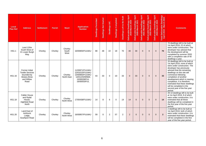| Local<br><b>Plan Ref</b> | <b>Address</b>                                                                               | <b>Settlement</b> | <b>Parish</b> | <b>Ward</b>              | <b>Application</b><br><b>Number</b>                                                                    | <b>Dwellings Permitted</b> | <b>Dwellings Not Started</b> | Dwellings U/C | Dwellings Completed | Dwellings Left to Be Built | Dwellings April<br>Iarch 2020<br>Deliverable Dwell<br>2019-March | Deliverable Dwellings April<br>2020-March 2021 | Dwellings April<br>Iarch 2022<br>Deliverable Dwell<br>2021-March | Deliverable Dwellings April<br>2022-March 2023 | April<br>Dwellings<br>larch 2024<br>Deliverable I<br>2023-Mi | Total Deliverable Dwellings<br>April 2019 - March 2024 | <b>Comments</b>                                                                                                                                                                                                                                                                                                                                                                                                   |
|--------------------------|----------------------------------------------------------------------------------------------|-------------------|---------------|--------------------------|--------------------------------------------------------------------------------------------------------|----------------------------|------------------------------|---------------|---------------------|----------------------------|------------------------------------------------------------------|------------------------------------------------|------------------------------------------------------------------|------------------------------------------------|--------------------------------------------------------------|--------------------------------------------------------|-------------------------------------------------------------------------------------------------------------------------------------------------------------------------------------------------------------------------------------------------------------------------------------------------------------------------------------------------------------------------------------------------------------------|
| <b>HS1.1</b>             | Land 120m<br>South West of<br>21 Lower Burgh<br>Way                                          | Chorley           | Chorley       | Chorley<br>South<br>West | 16/00805/FULMAJ                                                                                        | 88                         | 48                           | 22            | 18                  | 70                         | 40                                                               | 30                                             | $\Omega$                                                         | $\overline{0}$                                 | $\mathbf{0}$                                                 | 70                                                     | 70 dwellings left to be built at<br>1st April 2019, 22 of which<br>were under construction. The<br>developer has advised that<br>the development will be<br>completed by summer 2020<br>with a completion rate of 40<br>dwellings a year.                                                                                                                                                                         |
| HS1.16                   | Former Initial<br><b>Textile Services</b><br>bounded by<br>Botany Brow<br>and Willow<br>Road | Chorley           | Chorley       | Chorley<br>North East    | 11/00871/FULMAJ<br>12/01015/FULMAJ<br>13/00993/FULMAJ<br>14/01225/MNMA<br>15/00028/FUL<br>16/00053/FUL | 43                         | 33                           | $\Omega$      | 10                  | 33                         | $\mathbf{0}$                                                     | 33                                             | $\Omega$                                                         | $\mathbf{0}$                                   | $\Omega$                                                     | 33                                                     | 33 dwellings left to be built at<br>1st April 2019, none of which<br>were under construction. The<br>developer has previously<br>advised that the remaining<br>dwellings on this site will<br>commence following<br>completion of another<br>development which is nearing<br>completion. It is therefore<br>estimated that these dwellings<br>will be completed in the<br>second year of the five year<br>period. |
| <b>HS1.18</b>            | <b>Calder House</b><br>and Rydal<br>House,<br><b>Highfield Road</b><br>North                 | Chorley           | Chorley       | Chorley<br>North West    | 17/00438/FULMAJ                                                                                        | 14                         | 8                            | 6             | $\Omega$            | 14                         | 14                                                               | $\mathbf{0}$                                   | $\Omega$                                                         | $\Omega$                                       | $\Omega$                                                     | 14                                                     | All 14 dwellings left to be built<br>at 1st April 2019, 8 of which<br>were under construction. It is<br>estimated that all these<br>dwellings will be completed in<br>the first year of the five year<br>period.                                                                                                                                                                                                  |
| HS1.20                   | Land East of<br>Ackhurst<br>Lodge,<br>Southport Road                                         | Chorley           | Chorley       | Chorley<br>North West    | 16/00857/FULMAJ                                                                                        | 59                         | $\Omega$                     | 2             | 57                  | $\overline{2}$             | 2                                                                | $\overline{0}$                                 | $\Omega$                                                         | $\overline{0}$                                 | $\Omega$                                                     | $\overline{2}$                                         | 2 dwellings left to be built at<br>1st April 2019, both of which<br>were under construction. It is<br>estimated that these dwellings<br>will be completed in the first<br>year of the five year period.                                                                                                                                                                                                           |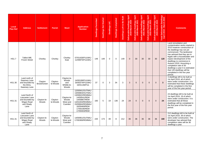| Local<br><b>Plan Ref</b> | <b>Address</b>                                                                       | <b>Settlement</b>      | <b>Parish</b>        | Ward                                                | <b>Application</b><br><b>Number</b>                                                                                                                                         | <b>Dwellings Permitted</b> | <b>Dwellings Not Started</b> | Dwellings U/C | <b>Dwellings Completed</b> | Dwellings Left to Be Built | <b>April</b><br>Dwellings<br>March 2020<br>Deliverable Dwell<br>2019-March | Deliverable Dwellings April<br>2020-March 2021 | Deliverable Dwellings April<br>2021-March 2022 | April<br>Dwellings<br>March 2023<br>Deliverable D<br>2022-Ma | lings April<br>2024<br><b>Dwelli</b><br>Deliverable Dwelli<br>2023-March 2 | rable Dwellings<br>- March 2024<br>Total Delivera<br>April 2019 - | <b>Comments</b>                                                                                                                                                                                                                                                                                                                                                                                                                           |
|--------------------------|--------------------------------------------------------------------------------------|------------------------|----------------------|-----------------------------------------------------|-----------------------------------------------------------------------------------------------------------------------------------------------------------------------------|----------------------------|------------------------------|---------------|----------------------------|----------------------------|----------------------------------------------------------------------------|------------------------------------------------|------------------------------------------------|--------------------------------------------------------------|----------------------------------------------------------------------------|-------------------------------------------------------------------|-------------------------------------------------------------------------------------------------------------------------------------------------------------------------------------------------------------------------------------------------------------------------------------------------------------------------------------------------------------------------------------------------------------------------------------------|
| <b>HS1.7</b>             | Talbot Mill.<br>Froom Street                                                         | Chorley                | Chorley              | Chorley<br>East                                     | 07/01426/FULMAJ<br>11/00875/FULMAJ                                                                                                                                          | 149                        | 149                          | $\Omega$      | $\mathbf 0$                | 149                        | $\mathbf{0}$                                                               | 30                                             | 30                                             | 30                                                           | 30                                                                         | 120                                                               | Land remediation and<br>contamination works started in<br>2015 however construction of<br>the dwellings has not yet<br>commenced. The landowner<br>has advised that they are in<br>legals with a housebuilder and<br>expect development of the<br>dwellings to commence in<br>Autumn 2019. Assuming a<br>completion rate of 30<br>dwellings a year it is estimated<br>that 120 dwellings will be<br>completed in the five year<br>period. |
| HS1.30                   | Land north of<br>Swansey Lane<br>and bounded by<br>the Elms,<br>Swansey Lane         | Clayton<br>Brook/Green | Clayton-<br>le-Woods | Clayton-le-<br>Woods<br>and<br>Whittle-le-<br>Woods | 14/00199/FULMAJ<br>16/00374/FULMAJ<br>16/01136/FUL                                                                                                                          | 37                         | $\Omega$                     | 3             | 34                         | 3                          | 3                                                                          | $\mathbf{0}$                                   | $\Omega$                                       | $\mathbf 0$                                                  | $\mathbf{0}$                                                               | $\overline{\mathbf{3}}$                                           | 3 dwellings left to be built at<br>1st April 2019, all of which<br>were under construction. It is<br>estimated that these dwellings<br>will be completed in the first<br>year of the five year period.                                                                                                                                                                                                                                    |
| HS1.31                   | Land North of<br>Lancaster Lane<br>and bounded by<br>Wigan Road<br>and Shady<br>Lane | Clayton-le-<br>Woods   | Clayton-<br>le-Woods | Clayton-le-<br>Woods<br>West and<br>Cuerden         | 12/00941/OUTMAJ<br>13/00803/OUTMAJ<br>13/00822/REMMAJ<br>14/00541/REM<br>14/00867/REM<br>14/01003/REMMAJ<br>15/00664/REMMAJ<br>16/00469/REM<br>17/00190/REM<br>17/00403/REM | 160                        | 5                            | 19            | 136                        | 24                         | 24                                                                         | $\mathbf{0}$                                   | $\Omega$                                       | $\mathbf 0$                                                  | $\mathbf{0}$                                                               | 24                                                                | 24 dwellings left to be built at<br>1st April 2019, 19 of which<br>were under construction. It is<br>estimated that all these<br>dwellings will be completed in<br>the first year of the five year<br>period.                                                                                                                                                                                                                             |
| HS1.31                   | Land North of<br>Lancaster Lane<br>and bounded by<br>Wigan Road<br>and Shady<br>Lane | Clayton-le-<br>Woods   | Clayton-<br>le-Woods | Clayton-le-<br>Woods<br>West and<br>Cuerden         | 14/00951/OUTMAJ<br>17/00369/REMMAJ                                                                                                                                          | 220                        | 173                          | 39            | 8                          | 212                        | 36                                                                         | 36                                             | 36                                             | 36                                                           | 36                                                                         | 180                                                               | 212 dwellings left to be built at<br>1st April 2019, 39 of which<br>were under construction. The<br>developer has advised that<br>completion rates will be 36<br>dwellings a year.                                                                                                                                                                                                                                                        |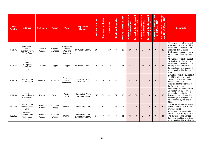| Local<br><b>Plan Ref</b> | <b>Address</b>                                      | <b>Settlement</b>    | <b>Parish</b>        | Ward                                        | <b>Application</b><br><b>Number</b> | <b>Dwellings Permitted</b> | <b>Dwellings Not Started</b> | Dwellings U/C  | Dwellings Completed | Dwellings Left to Be Built | Dwellings April<br>Iarch 2020<br>Deliverable Dwelli<br>2019-March 2 | Deliverable Dwellings April<br>2020-March 2021 | Deliverable Dwellings April<br>2021-March 2022 | April<br>Dwellings<br>Narch 2023<br>Deliverable D<br>2022-Ma | Dwellings April<br><i>Narch 2024</i><br>Deliverable D<br>2023-Ma | rable Dwellings<br>- March 2024<br>eliver<br>2019<br>Total De | <b>Comments</b>                                                                                                                                                                                                   |
|--------------------------|-----------------------------------------------------|----------------------|----------------------|---------------------------------------------|-------------------------------------|----------------------------|------------------------------|----------------|---------------------|----------------------------|---------------------------------------------------------------------|------------------------------------------------|------------------------------------------------|--------------------------------------------------------------|------------------------------------------------------------------|---------------------------------------------------------------|-------------------------------------------------------------------------------------------------------------------------------------------------------------------------------------------------------------------|
| HS1.31                   | Land 340m<br>East of<br>Cuerden Farm.<br>Wigan Road | Clayton-le-<br>Woods | Clayton-<br>le-Woods | Clayton-le-<br>Woods<br>West and<br>Cuerden | 14/01011/FULMAJ                     | 29                         | 6                            | 23             | $\Omega$            | 29                         | 29                                                                  | $\Omega$                                       | $\Omega$                                       | $\Omega$                                                     | $\Omega$                                                         | 29                                                            | All 29 dwellings left to be built<br>at 1st April 2019, 23 of which<br>were under construction. It is<br>estimated that all these<br>dwellings will be completed in<br>the first year of the five year<br>period. |
| HS1.36                   | Coppull<br>Enterprise<br>Centre, Mill<br>Lane       | Coppull              | Coppull              | Coppull                                     | 16/00656/FULMAJ                     | 75                         | 62                           | 12             | $\overline{1}$      | 74                         | 27                                                                  | 27                                             | 20                                             | $\overline{0}$                                               | $\mathbf{0}$                                                     | 74                                                            | 74 dwellings left to be built at<br>1st April 2019, 12 of which<br>were under construction. The<br>developer has advised that<br>the development is expected<br>to be completed by the end of<br>2021.            |
| HS1.49                   | Land adjacent<br>75 Towngate                        | Eccleston            | Eccleston            | Eccleston<br>and<br>Mawdesley               | 15/01246/FUL<br>16/01191/FUL        | $\overline{7}$             | $\Omega$                     | $\overline{1}$ | 6                   | $\overline{\mathbf{1}}$    | $\overline{1}$                                                      | $\Omega$                                       | $\Omega$                                       | $\Omega$                                                     | $\Omega$                                                         | $\mathbf{1}$                                                  | 1 dwelling left to be built at 1st<br>April 2019 which was under<br>construction. It is estimated<br>that this dwelling will be<br>completed in the first year of<br>the five year period.                        |
| HS1.39                   | Land<br>surrounding 89<br>Euxton Lane               | Euxton               | Euxton               | Euxton<br>North                             | 16/00380/OUTMAJ<br>17/00356/REMMAJ  | 140                        | 51                           | 32             | 57                  | 83                         | 47                                                                  | 36                                             | $\Omega$                                       | $\Omega$                                                     | $\mathbf{0}$                                                     | 83                                                            | 83 dwellings left to be built at<br>1st April 2019, 32 of which<br>were under construction. The<br>developer has indicated that<br>all dwellings are expected to<br>be completed by the end of<br>2020.           |
| <b>HS1.43A</b>           | Land adjacent<br>to Lady Cross<br><b>Drive</b>      | Whittle-le-<br>Woods | Whittle-le-<br>Woods | Pennine                                     | 17/00377/OUTMAJ                     | 12                         | 12                           | $\mathbf 0$    | 0                   | 12                         | $\mathbf{0}$                                                        | $\mathbf{0}$                                   | $\mathbf{0}$                                   | $\mathbf{0}$                                                 | $\overline{0}$                                                   | $\mathbf{0}$                                                  | There is no evidence that the<br>site will come forward in the<br>five year period.                                                                                                                               |
| <b>HS1.43C</b>           | Land west of<br>Leatherlands<br>Farm, Moss<br>Lane  | Whittle-le-<br>Woods | Whittle-le-<br>Woods | Pennine                                     | 14/00900/OUTMAJ<br>16/00247/FULMAJ  | 34                         | $\Omega$                     | 34             | $\Omega$            | 34                         | 34                                                                  | $\mathbf{0}$                                   | $\Omega$                                       | $\Omega$                                                     | $\Omega$                                                         | 34                                                            | All 34 dwellings were under<br>construction at 1st April 2019.<br>The developer has advised<br>that these dwellings are likely<br>to be completed by April 2020.                                                  |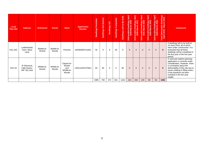| Local<br><b>Plan Ref</b> | <b>Address</b>                                    | <b>Settlement</b>    | <b>Parish</b>        | <b>Ward</b>                                         | <b>Application</b><br><b>Number</b> | <b>Dwellings Permitted</b> | <b>Started</b><br>$\overline{2}$<br>Dwellings | Dwellings U/C | Completed<br>Dwellings | Dwellings Left to Be Built | Dwellings April<br>Iarch 2020<br>Deliverable Dwell<br>2019-March | April<br>Deliverable Dwellings<br>2020-March 2021 | Deliverable Dwellings April<br>2021-March 2022 | April<br>Dwellings<br><b>Aarch 2023</b><br>Deliverable Dwell<br>2022-March | April<br>Deliverable Dwellings<br>2023-March 2024 | Total Deliverable Dwellings<br>April 2019 - March 2024 | <b>Comments</b>                                                                                                                                                                                                                                                            |
|--------------------------|---------------------------------------------------|----------------------|----------------------|-----------------------------------------------------|-------------------------------------|----------------------------|-----------------------------------------------|---------------|------------------------|----------------------------|------------------------------------------------------------------|---------------------------------------------------|------------------------------------------------|----------------------------------------------------------------------------|---------------------------------------------------|--------------------------------------------------------|----------------------------------------------------------------------------------------------------------------------------------------------------------------------------------------------------------------------------------------------------------------------------|
| <b>HS1.43C</b>           | Leatherlands<br>Farm, Moss<br>Lane                | Whittle-le-<br>Woods | Whittle-le-<br>Woods | Pennine                                             | 16/00509/FULMAJ                     | 45                         | $\Omega$                                      | 9             | 36                     | 9                          | 9                                                                | $\mathbf{0}$                                      | $\mathbf{0}$                                   | $\mathbf{0}$                                                               | $\mathbf 0$                                       | 9                                                      | 9 dwellings left to be built at<br>1st April 2019, all of which<br>were under construction. It is<br>estimated that all these<br>dwellings will be completed in<br>the first year of the five year<br>period.                                                              |
| HS1.53                   | JF Electrical,<br>Little Quarry,<br>Hill Top Lane | Whittle-le-<br>Woods | Whittle-le-<br>Woods | Clayton-le-<br>Woods<br>and<br>Whittle-le-<br>Woods | 12/01134/OUTMAJ                     | 85                         | 85                                            | $\mathbf 0$   | 0                      | 85                         | $\mathbf 0$                                                      | $\mathbf 0$                                       | $\mathbf{0}$                                   | $\mathbf{0}$                                                               | $\mathbf 0$                                       | $\mathbf{0}$                                           | A reserved matters planning<br>application is currently under<br>consideration. However, there<br>is uncertainty about the<br>deliverability of this site due to<br>issues relating to filling works.<br>It has therefore not been<br>included in the five year<br>supply. |
|                          |                                                   |                      |                      |                                                     |                                     | 1985                       | 792                                           | 372           | 821                    | 1164                       | 410                                                              | 283                                               | 149                                            | 98                                                                         | 66                                                | 1006                                                   |                                                                                                                                                                                                                                                                            |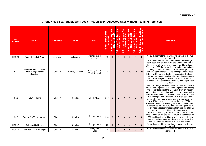#### **APPENDIX 2**

# **Chorley Five Year Supply April 2019 – March 2024: Allocated Sites without Planning Permission**

| Local<br><b>Plan Ref</b> | <b>Address</b>                                                | <b>Settlement</b> | <b>Parish</b>    | Ward                                  | Number of Dwellings<br>ocated<br>₹ | Dwellings April<br>2020<br>2019-March<br><b>Deliverable</b> | Dwellings April<br> arch 2021<br>Deliverable Dwell<br>2020-March | Deliverable Dwellings April<br>2021-March 2022 | Dwellings April<br>larch 2023<br>Deliverable Dw<br>2022-Marc | Dwellings April<br>larch 2024<br>Deliverable Dwell<br>2023-March | Dwellings<br>rch 2024<br>Total Deliverable Dw<br>April 2019 - March | <b>Comments</b>                                                                                                                                                                                                                                                                                                                                                                                                                                                                                                                                                                                                                                                                    |
|--------------------------|---------------------------------------------------------------|-------------------|------------------|---------------------------------------|------------------------------------|-------------------------------------------------------------|------------------------------------------------------------------|------------------------------------------------|--------------------------------------------------------------|------------------------------------------------------------------|---------------------------------------------------------------------|------------------------------------------------------------------------------------------------------------------------------------------------------------------------------------------------------------------------------------------------------------------------------------------------------------------------------------------------------------------------------------------------------------------------------------------------------------------------------------------------------------------------------------------------------------------------------------------------------------------------------------------------------------------------------------|
| HS1.26                   | Fairport, Market Place                                        | Adlington         | Adlington        | Adlington and<br>Anderton             | 31                                 | $\mathbf 0$                                                 | $\Omega$                                                         | $\mathbf{0}$                                   | $\mathbf{0}$                                                 | $\mathbf{0}$                                                     | $\mathbf{0}$                                                        | No evidence that the site will come forward in the five<br>year period.                                                                                                                                                                                                                                                                                                                                                                                                                                                                                                                                                                                                            |
| <b>HS1.1</b>             | Eaves Green, off Lower<br>Burgh Way (remaining<br>allocation) | Chorley           | Chorley/ Coppull | <b>Chorley South</b><br>West/ Coppull | 232                                | $\mathbf{0}$                                                | 23                                                               | 40                                             | 40                                                           | 40                                                               | 143                                                                 | The site is allocated for 419 dwellings. 99 dwellings<br>have been built on part of the site and another part of<br>the site has full planning permission for 88 dwellings.<br>This leaves 232 dwellings. A full planning application is<br>currently under consideration for 201 dwellings on the<br>remaining part of the site. The developer has advised<br>that the s106 agreement is being finalised and subject to<br>planning permission they intend to start development of<br>this site following completion of the adjacent parcel in<br>summer 2020. Completions will be 40 dwellings a year<br>to 2025.                                                                |
| <b>HS1.5</b>             | Cowling Farm                                                  | Chorley           | Chorley          | <b>Chorley East</b>                   | 158                                | $\mathbf{0}$                                                | $\overline{0}$                                                   | $\mathbf{0}$                                   | $\mathbf{0}$                                                 | $\mathbf{0}$                                                     | $\mathbf{0}$                                                        | A land exchange has taken place between the Council<br>and Homes England, with Homes England now owning<br>the residential part of the allocation. They previously<br>indicated the following timescales: submission of outline<br>planning application in November 2018, disposal of site<br>to a developer by September 2019, submission and<br>approval of reserved matters planning application by<br>mid-2020 and a start on site by the end of 2020.<br>However, the outline planning application had not been<br>submitted at 1st April 2019 and Homes England have<br>not provided updated timescales therefore the site has<br>not been included in the five year supply. |
| <b>HS1.8</b>             | Botany Bay/Great Knowley                                      | Chorley           | Chorley          | <b>Chorley North</b><br>East          | 200                                | $\mathbf{0}$                                                | $\Omega$                                                         | $\Omega$                                       | $\Omega$                                                     | $\Omega$                                                         | $\mathbf 0$                                                         | Two outline planning applications are currently under<br>consideration on the site which include the development<br>of 288 dwellings in total. However, as these applications<br>have not yet been approved there is no evidence that<br>the site will come forward in the five year period.                                                                                                                                                                                                                                                                                                                                                                                       |
| <b>HS1.17</b>            | Cabbage Hall Fields                                           | Chorley           | Chorley          | <b>Chorley North</b><br>East          | 11                                 | $\overline{0}$                                              | $\Omega$                                                         | $\overline{0}$                                 | $\mathbf{0}$                                                 | $\Omega$                                                         | $\mathbf{0}$                                                        | No evidence that the site will come forward in the five<br>year period.                                                                                                                                                                                                                                                                                                                                                                                                                                                                                                                                                                                                            |
| HS1.19                   | Land adjacent to Northgate                                    | Chorley           | Chorley          | <b>Chorley North</b><br>East          | 21                                 | $\mathbf{0}$                                                | $\Omega$                                                         | $\mathbf{0}$                                   | $\mathbf{0}$                                                 | $\Omega$                                                         | $\mathbf{0}$                                                        | No evidence that the site will come forward in the five<br>year period.                                                                                                                                                                                                                                                                                                                                                                                                                                                                                                                                                                                                            |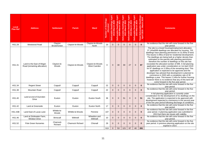| Local<br><b>Plan Ref</b> | <b>Address</b>                                           | <b>Settlement</b>      | <b>Parish</b>           | Ward                             | <b>Number of Dwellings</b><br>ocated | Dwellings April<br>$\bullet$<br>$\sim$<br>19-March<br>Deliverable<br>201 | Dwellings April<br>Iarch 2021<br>Deliverable Dwell<br>2020-March | Dwellings April<br>Iarch 2022<br>Deliverable Dwell<br>2021-March | Deliverable Dwellings April<br>2022-March 2023 | Dwellings April<br>larch 2024<br>Deliverable Dwelli<br>2023-March 2 | Dwellings<br>ch 2024<br>Total Deliverable<br>April 2019 - Mar | <b>Comments</b>                                                                                                                                                                                                                                                                                                                                                                                                                                                                                                                                                                                                                                                                                                                                                                                                                                                                                             |
|--------------------------|----------------------------------------------------------|------------------------|-------------------------|----------------------------------|--------------------------------------|--------------------------------------------------------------------------|------------------------------------------------------------------|------------------------------------------------------------------|------------------------------------------------|---------------------------------------------------------------------|---------------------------------------------------------------|-------------------------------------------------------------------------------------------------------------------------------------------------------------------------------------------------------------------------------------------------------------------------------------------------------------------------------------------------------------------------------------------------------------------------------------------------------------------------------------------------------------------------------------------------------------------------------------------------------------------------------------------------------------------------------------------------------------------------------------------------------------------------------------------------------------------------------------------------------------------------------------------------------------|
| <b>HS1.29</b>            | Westwood Road                                            | Clayton<br>Brook/Green | Clayton-le-Woods        | Clayton-le-Woods<br>North        | 23                                   | $\Omega$                                                                 | $\Omega$                                                         | $\mathbf{0}$                                                     | $\mathbf{0}$                                   | $\Omega$                                                            | $\mathbf{0}$                                                  | No evidence that the site will come forward in the five<br>vear period.                                                                                                                                                                                                                                                                                                                                                                                                                                                                                                                                                                                                                                                                                                                                                                                                                                     |
| HS1.31                   | Land to the East of Wigan<br>Road (remaining allocation) | Clayton-le-<br>Woods   | Clayton-le-Woods        | Clayton-le-Woods<br>West Cuerden | 0                                    | $\Omega$                                                                 | 30                                                               | 30                                                               | 27                                             | $\mathbf{0}$                                                        | 87                                                            | The site is a mixed housing/employment allocation.<br>37.14ha/699 dwellings are allocated for housing. 703<br>dwellings have planning permission on 31.65ha of land.<br>This leaves 5.49ha of land for residential development.<br>The dwellings are being built at a higher density than<br>estimated on the parcels with planning permission<br>therefore the number of dwellings on this site has<br>exceeded the allocated number of 699. A full planning<br>application was under consideration on 1st April 2019<br>for 87 dwellings on 3.35ha of the remaining land. This<br>application is expected to be approved and the<br>developer has advised that development is planned to<br>commence in 2020 with a completion rate of 30<br>dwellings a year. This leaves 2.14ha for further housing<br>however there is no evidence that any of this land will<br>come forward in the five year period. |
| HS1.34                   | <b>Regent Street</b>                                     | Coppull                | Coppull                 | Coppull                          | 22                                   | $\Omega$                                                                 | $\Omega$                                                         | $\mathbf{0}$                                                     | $\mathbf{0}$                                   | $\Omega$                                                            | $\mathbf{0}$                                                  | No evidence that the site will come forward in the five<br>year period.                                                                                                                                                                                                                                                                                                                                                                                                                                                                                                                                                                                                                                                                                                                                                                                                                                     |
| <b>HS1.38</b>            | Mountain Road                                            | Coppull                | Coppull                 | Coppull                          | 22                                   | $\Omega$                                                                 | $\Omega$                                                         | $\Omega$                                                         | $\Omega$                                       | $\Omega$                                                            | $\mathbf{0}$                                                  | No evidence that the site will come forward in the five<br>year period.                                                                                                                                                                                                                                                                                                                                                                                                                                                                                                                                                                                                                                                                                                                                                                                                                                     |
| HS1.40                   | Land at end of Dunrobin<br><b>Drive</b>                  | Euxton                 | Euxton                  | Euxton South                     | 36                                   | $\Omega$                                                                 | $\Omega$                                                         | 51                                                               | $\overline{0}$                                 | $\mathbf{0}$                                                        | 51                                                            | A full planning application is currently under<br>consideration for the development of 51 dwellings on the<br>site. The application is expected to be approved with<br>development expected to commence in the second year<br>of the five year period following discharge of conditions.                                                                                                                                                                                                                                                                                                                                                                                                                                                                                                                                                                                                                    |
| HS1.42                   | Land at Greenside                                        | Euxton                 | Euxton                  | <b>Euxton North</b>              | 17                                   | $\mathbf{0}$                                                             | $\Omega$                                                         | $\overline{0}$                                                   | $\overline{0}$                                 | $\overline{0}$                                                      | $\mathbf{0}$                                                  | No evidence that the site will come forward in the five<br>year period.                                                                                                                                                                                                                                                                                                                                                                                                                                                                                                                                                                                                                                                                                                                                                                                                                                     |
| <b>HS1.43B</b>           | Land East of Lucas Lane                                  | Whittle-le-<br>Woods   | Whittle-le-Woods        | Pennine                          | 107                                  | $\mathbf{0}$                                                             | $\Omega$                                                         | $\overline{0}$                                                   | $\mathbf{0}$                                   | $\overline{0}$                                                      | $\bf{0}$                                                      | No evidence that the site will come forward in the five<br>year period. A planning application was submitted in<br>2013 but there are issues with viability.                                                                                                                                                                                                                                                                                                                                                                                                                                                                                                                                                                                                                                                                                                                                                |
| HS1.46                   | Land at Drinkwater Farm,<br><b>Windsor Drive</b>         | <b>Brinscall</b>       | Withnell                | Wheelton and<br>Withnell         | 10                                   | $\mathbf{0}$                                                             | $\Omega$                                                         | $\overline{0}$                                                   | $\mathbf{0}$                                   | $\mathbf{0}$                                                        | $\mathbf{0}$                                                  | No evidence that the site will come forward in the five<br>year period.                                                                                                                                                                                                                                                                                                                                                                                                                                                                                                                                                                                                                                                                                                                                                                                                                                     |
| HS1.52                   | <b>Pole Green Nurseries</b>                              | Charnock<br>Richard    | <b>Charnock Richard</b> | Chisnall                         | 29                                   | $\mathbf{0}$                                                             | $\Omega$                                                         | $\mathbf{0}$                                                     | $\overline{0}$                                 | $\overline{0}$                                                      | $\bf{0}$                                                      | No evidence that the site will come forward in the five<br>year period. A previous planning application on the site<br>expired in 2014.                                                                                                                                                                                                                                                                                                                                                                                                                                                                                                                                                                                                                                                                                                                                                                     |
|                          |                                                          |                        |                         |                                  | 919                                  | $\mathbf{0}$                                                             | 53                                                               | 121                                                              | 67                                             | 40                                                                  | 281                                                           |                                                                                                                                                                                                                                                                                                                                                                                                                                                                                                                                                                                                                                                                                                                                                                                                                                                                                                             |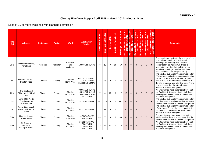#### **APPENDIX 3**

# **Chorley Five Year Supply April 2019 – March 2024: Windfall Sites**

#### Sites of 10 or more dwellings with planning permission

| <b>Site</b><br><b>Ref</b> | <b>Address</b>                                        | <b>Settlement</b> | <b>Parish</b> | <b>Ward</b>                  | <b>Application</b><br><b>Number</b>                                   | Permitted<br><b>Dwellings</b> | Dwellings Not Started | Dwellings U/C | Dwellings Completed | Be Built<br>Dwellings Left to | April<br><b>Dwellings</b><br>$\overline{20}$<br><b>March</b><br>$\bullet$<br>යා<br>Deliverabl<br>$\overline{201}$ | April<br><b>Dwellings</b><br>6<br>ನಿ<br>Deliverable Dwelli<br>2020-March 2 | April<br>Dwellings<br>March 2022<br>Deliverable Dwelli<br>2021-March 2 | April<br>Deliverable Dwellings<br>2022-March 2023 | April<br>954<br>ellin<br>arch<br>Š<br>Deliverable I<br>2023-Ma | wellings<br>h 2024<br>۵<br>$\overline{\mathbf{c}}$<br>ು ಸ<br>erabl<br>ၜ<br>201<br>Ā<br>April<br><b>Total</b> | <b>Comments</b>                                                                                                                                                                                                                                                                                                            |
|---------------------------|-------------------------------------------------------|-------------------|---------------|------------------------------|-----------------------------------------------------------------------|-------------------------------|-----------------------|---------------|---------------------|-------------------------------|-------------------------------------------------------------------------------------------------------------------|----------------------------------------------------------------------------|------------------------------------------------------------------------|---------------------------------------------------|----------------------------------------------------------------|--------------------------------------------------------------------------------------------------------------|----------------------------------------------------------------------------------------------------------------------------------------------------------------------------------------------------------------------------------------------------------------------------------------------------------------------------|
| 2642                      | White Bear Marina.<br>Park Road                       | Adlington         | Adlington     | Adlington<br>and<br>Anderton | 10/00812/FULMAJ                                                       | 48                            | 19                    | $\Omega$      | 29                  | 19                            | $\overline{0}$                                                                                                    | $\mathbf{0}$                                                               | $\mathbf{0}$                                                           | $\mathbf{0}$                                      | $\mathbf{0}$                                                   | $\mathbf{0}$                                                                                                 | This permission relates to the change of use<br>of 48 leisure moorings to residential<br>moorings. 29 moorings had become<br>residential by 1st April 2019. There is<br>uncertainty over the deliverability of the<br>remaining moorings therefore they have not<br>been included in the five year supply.                 |
| 2502                      | Hospital Car Park,<br>Preston Road                    | Chorley           | Chorley       | Chorley<br>North West        | 09/00033/OUTMAJ<br>13/00076/OUTMAJ<br>16/00236/OUTMAJ                 | 28                            | 28                    | 0             | $\mathbf 0$         | 28                            | $\mathbf{0}$                                                                                                      | $\overline{0}$                                                             | $\mathbf{0}$                                                           | $\mathbf{0}$                                      | $\mathbf{0}$                                                   | $\mathbf{0}$                                                                                                 | The site has outline planning permission for<br>28 dwellings. It also has temporary planning<br>permission for use as a hospital car park<br>until July 2019 therefore redevelopment of<br>the site is unlikely until after this date. There<br>is no evidence that the site will come<br>forward in the five year period. |
| 2613                      | The Eagle and<br>Child Hotel, 20 Pall<br>Mall         | Chorley           | Chorley       | Chorley<br>North West        | 08/00111/FULMAJ<br>14/01079/FULMAJ<br>15/00369/FULMAJ<br>18/01224/FUL | 17                            | 0                     | 17            | $\mathbf 0$         | 17                            | 17                                                                                                                | $\overline{0}$                                                             | $\mathbf{0}$                                                           | $\Omega$                                          | $\mathbf{0}$                                                   | 17                                                                                                           | All 17 dwellings were under construction at<br>1st April 2019. It is estimated that all these<br>dwellings will be completed in the first year<br>of the five year period.                                                                                                                                                 |
| 3125                      | Land 200m North<br>of Derian House.<br>Euxton Lane    | Chorley           | Chorley       | Chorley<br>North West        | 15/00224/OUTMAJ                                                       | 125                           | 125                   | 0             | $\mathbf 0$         | 125                           | $\overline{0}$                                                                                                    | $\overline{0}$                                                             | $\overline{0}$                                                         | $\overline{0}$                                    | $\mathbf{0}$                                                   | $\mathbf{0}$                                                                                                 | The site has outline planning permission for<br>125 dwellings. There is no evidence that the<br>site will come forward in the five year period.                                                                                                                                                                            |
| 3169                      | Bonny Greenhalgh<br>& Co, Back Ashby<br><b>Street</b> | Chorley           | Chorley       | Chorley<br>South East        | 16/00116/OUTMAJ                                                       | 12                            | 12                    | $\Omega$      | $\mathbf 0$         | 12                            | $\Omega$                                                                                                          | 0                                                                          | $\overline{0}$                                                         | $\mathbf{0}$                                      | $\mathbf 0$                                                    | $\mathbf{0}$                                                                                                 | The site has outline planning permission for<br>12 dwellings. The site has been marketed<br>but there is no evidence that it will come<br>forward in the five year period.                                                                                                                                                 |
| 3184                      | Lingmell House,<br><b>Water Street</b>                | Chorley           | Chorley       | Chorley<br>North East        | 16/00678/P3PAJ<br>16/00754/FUL                                        | 33                            | 33                    | 0             | $\mathbf 0$         | 33                            | $\mathbf 0$                                                                                                       | $\overline{0}$                                                             | $\mathbf 0$                                                            | $\mathbf 0$                                       | $\overline{0}$                                                 | $\bf{0}$                                                                                                     | The premises are now being used by the<br>NHS therefore there is no evidence that the<br>site will come forward in the five year period.                                                                                                                                                                                   |
| 3300                      | St George's<br>House, St<br>George's Street           | Chorley           | Chorley       | Chorley<br>South East        | 17/00276/P3PAJ<br>17/00270/FUL<br>17/00467/FUL<br>18/00341/FUL        | 13                            | $\Omega$              | 13            | $\Omega$            | 13                            | 13                                                                                                                | $\overline{0}$                                                             | $\Omega$                                                               | $\mathbf{0}$                                      | $\mathbf 0$                                                    | 13                                                                                                           | All 13 dwellings were under construction at<br>1st April 2019. It is estimated that all these<br>dwellings will be completed in the first year<br>of the five year period.                                                                                                                                                 |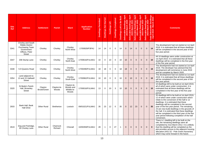| <b>Site</b><br><b>Ref</b> | <b>Address</b>                                                                                                  | <b>Settlement</b>      | <b>Parish</b>        | <b>Ward</b>                                      | <b>Application</b><br><b>Number</b> | Dwellings Permitted | Dwellings Not Started | Dwellings U/C | <b>Dwellings Completed</b> | Built<br>Be<br>Dwellings Left to | April<br>wellings<br>rch 2020<br>larch<br>$\bullet$<br><b>Deliverable</b><br>්ත | lings April<br>March<br>Dwell<br>$\overline{\mathbf{c}}$<br>Deliverable<br>2020-l | Deliverable Dwellings April<br>2021-March 2022 | Deliverable Dwellings April<br>2022-March 2023 | April<br>Deliverable Dwellings<br>2023-March 2024 | $rac{9}{24}$<br>Ă<br>$\underline{\bullet}$<br>l Deliverat<br>ril 2019 - I<br>Total<br>Apr | <b>Comments</b>                                                                                                                                                                                                                                                                                                                                                                                                                                                                       |  |
|---------------------------|-----------------------------------------------------------------------------------------------------------------|------------------------|----------------------|--------------------------------------------------|-------------------------------------|---------------------|-----------------------|---------------|----------------------------|----------------------------------|---------------------------------------------------------------------------------|-----------------------------------------------------------------------------------|------------------------------------------------|------------------------------------------------|---------------------------------------------------|-------------------------------------------------------------------------------------------|---------------------------------------------------------------------------------------------------------------------------------------------------------------------------------------------------------------------------------------------------------------------------------------------------------------------------------------------------------------------------------------------------------------------------------------------------------------------------------------|--|
| 3341                      | Chorley and South<br><b>Ribble District</b><br>Purchasing Team<br>Government<br>Offices, Peter<br><b>Street</b> | Chorley                | Chorley              | Chorley<br>North West                            | 17/00929/P3PAJ                      | 14                  | 14                    | $\Omega$      | $\Omega$                   | 14                               | $\Omega$                                                                        | 14                                                                                | $\mathbf{0}$                                   | $\Omega$                                       | $\mathbf{0}$                                      | 14                                                                                        | The development had not started at 1st April<br>2019. It is estimated that all these dwellings<br>will be completed in the second year of the<br>five year period.                                                                                                                                                                                                                                                                                                                    |  |
| 3347                      | 208 Stump Lane                                                                                                  | Chorley                | Chorley              | Chorley<br>North East                            | 17/00616/FULMAJ                     | 10                  | $\mathbf 0$           | 10            | $\Omega$                   | 10                               | 10                                                                              | $\overline{0}$                                                                    | $\mathbf 0$                                    | $\Omega$                                       | $\mathbf 0$                                       | 10                                                                                        | All 10 dwellings were under construction at<br>1st April 2019. It is estimated that all these<br>dwellings will be completed in the first year<br>of the five year period.                                                                                                                                                                                                                                                                                                            |  |
| 3348                      | 5-9 Queens Road                                                                                                 | Chorley                | Chorley              | Chorley<br>North West                            | 17/00490/FULMAJ                     | 18                  | 18                    | 0             | $\Omega$                   | 18                               | 18                                                                              | $\overline{0}$                                                                    | $\mathbf{0}$                                   | $\mathbf{0}$                                   | $\mathbf{0}$                                      | 18                                                                                        | The development had not started at 1st April<br>2019. The developer has advised that the<br>development will commence in June 2019<br>and be complete by March 2020.                                                                                                                                                                                                                                                                                                                  |  |
| 3354                      | Land adjacent to<br>13 and 15 Halliwell<br><b>Street</b>                                                        | Chorley                | Chorley              | Chorley<br>South East                            | 17/00962/FULMAJ                     | 10                  | 10                    | $\Omega$      | $\Omega$                   | 10                               | $\Omega$                                                                        | 10 <sup>1</sup>                                                                   | $\mathbf 0$                                    | $\mathbf 0$                                    | $\mathbf 0$                                       | 10                                                                                        | The development had not started at 1st April<br>2019. It is estimated that all these dwellings<br>will be completed in the second year of the<br>five year period.                                                                                                                                                                                                                                                                                                                    |  |
| 3320                      | St Bede's Parish<br>Hall, Brownley<br><b>Street</b>                                                             | Clayton<br>Brook/Green | Clayton-le-<br>Woods | Clayton-le-<br>Woods and<br>Whittle-le-<br>Woods | 17/00016/FULMAJ                     | 13                  | $\mathbf 0$           | 10            | 3                          | 10                               | 10                                                                              | $\mathbf{0}$                                                                      | $\mathbf 0$                                    | $\overline{0}$                                 | $\mathbf 0$                                       | 10                                                                                        | 10 dwellings left to be built at 1st April 2019,<br>all of which were under construction. It is<br>estimated that all these dwellings will be<br>completed in the first year of the five year<br>period.                                                                                                                                                                                                                                                                              |  |
| 2933                      | Bank Hall, Bank<br><b>Hall Drive</b>                                                                            | <b>Other Rural</b>     | <b>Bretherton</b>    | Lostock                                          | 09/01021/FULMAJ                     | 35                  | 23                    | 12            | $\Omega$                   | 35                               | $\mathbf{0}$                                                                    | 12 <sup>2</sup>                                                                   | 23                                             | $\mathbf{0}$                                   | $\mathbf{0}$                                      | 35                                                                                        | 35 dwellings left to be built at 1st April 2019,<br>12 of which were under construction which<br>relate to the conversion of the hall to 12<br>dwellings. It is estimated that these<br>dwellings will be completed in the second<br>year of the five year period. The remaining<br>23 are new build dwellings in the grounds of<br>the hall. It is estimated that these dwellings<br>will be completed in the third year of the five<br>year period following completion of the hall |  |
| 2619                      | Dog and Partridge,<br>30 Chorley Lane                                                                           | <b>Other Rural</b>     | Charnock<br>Richard  | Chisnall                                         | 10/00359/FULMAJ                     | 28                  | $\overline{1}$        | $\Omega$      | 27                         | $\overline{1}$                   | $\Omega$                                                                        | $\mathbf{0}$                                                                      | $\mathbf 0$                                    | $\overline{0}$                                 | $\mathbf 0$                                       | $\mathbf{0}$                                                                              | conversion.<br>There is 1 dwelling left to be built on the<br>site, the remaining dwellings were all<br>completed by 31st March 2012. It is unlikely<br>that this dwelling will be completed as the<br>plot provides access to the adjacent housing<br>allocation (HS1.52 - Pole Green Nurseries)<br>which may come forward in the future.                                                                                                                                            |  |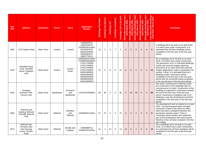| <b>Site</b><br><b>Ref</b> | <b>Address</b>                                                                         | <b>Settlement</b>  | <b>Parish</b> | <b>Ward</b>                   | <b>Application</b><br><b>Number</b>                                                                                                                                                | Dwellings Permitted | Dwellings Not Started | Dwellings U/C | <b>Dwellings Completed</b> | Built<br><b>Be</b><br>Dwellings Left to | April<br>ings<br>2020<br>larch<br>$\bullet$<br>Deliverable<br>2019- | llings April<br>1 2021<br><b>March</b><br><b>Dwell</b><br>$\bullet$<br>Deliverable<br>2020-l | Dwellings April<br>March 2022<br>Deliverable Dwellii<br>2021-March 2 | Dwellings April<br>Iarch 2023<br><b>March</b><br>Deliverable<br>2022- | April<br>lings<br>2024<br>March<br>Deliverable Dwelli<br>2023-March | ۵<br>$\bullet$<br>$rac{a}{9}$<br>$\Delta \neq$<br>Total<br>Apr | <b>Comments</b>                                                                                                                                                                                                                                                                                                                                                                                                                                                                                                         |
|---------------------------|----------------------------------------------------------------------------------------|--------------------|---------------|-------------------------------|------------------------------------------------------------------------------------------------------------------------------------------------------------------------------------|---------------------|-----------------------|---------------|----------------------------|-----------------------------------------|---------------------------------------------------------------------|----------------------------------------------------------------------------------------------|----------------------------------------------------------------------|-----------------------------------------------------------------------|---------------------------------------------------------------------|----------------------------------------------------------------|-------------------------------------------------------------------------------------------------------------------------------------------------------------------------------------------------------------------------------------------------------------------------------------------------------------------------------------------------------------------------------------------------------------------------------------------------------------------------------------------------------------------------|
| 2850                      | 127A Station Road                                                                      | <b>Other Rural</b> | Croston       | Lostock                       | 12/00942/FUL<br>14/00315/FUL<br>15/00953/FULMAJ<br>15/01040/OUT<br>16/01032/REM<br>16/00292/FUL<br>18/00773/FUL                                                                    | 12                  | $\overline{2}$        | 3             | $\overline{7}$             | 5                                       | 5                                                                   | $\mathbf{0}$                                                                                 | $\mathbf{0}$                                                         | $\mathbf{0}$                                                          | $\mathbf{0}$                                                        | 5                                                              | 5 dwellings left to be built at 1st April 2019,<br>3 of which were under construction. It is<br>estimated that all these dwellings will be<br>completed in the first year of the five year<br>period.                                                                                                                                                                                                                                                                                                                   |
| 3219                      | <b>Gleadhill House</b><br>Stud, Gleadhill<br>House, Dawbers<br>Lane                    | <b>Other Rural</b> | Euxton        | Euxton<br>South               | 16/00633/OUTMAJ<br>17/00806/REMMAJ<br>17/01172/REM<br>17/01173/REM<br>17/01174/REM<br>17/01175/REM<br>18/00166/REM<br>18/00448/REM<br>18/00825/REM<br>18/00854/REM<br>18/01186/REM | 12                  | 6                     | 6             | $\mathbf 0$                | 12                                      | 6                                                                   | 6                                                                                            | $\mathbf 0$                                                          | $\mathbf{0}$                                                          | $\overline{0}$                                                      | $12 \overline{ }$                                              | All 12 dwellings left to be built at 1st April<br>2019, 6 of which were under construction.<br>The permission is for 12 self-build dwellings,<br>9 plots had reserved matters planning<br>permission at 1st April 2019 with reserved<br>matters applications under consideration for<br>another 2 plots. It is estimated that the 6<br>dwellings under construction will be<br>completed in the first year of the five year<br>period with the remainder being completed<br>in the second year of the five year period. |
| 3419                      | Goodyear<br>Business Park,<br>Gorsey Lane                                              | <b>Other Rural</b> | Mawdesley     | Eccleston<br>and<br>Mawdesley | 17/01097/REMMAJ                                                                                                                                                                    | 56                  | 56                    | 0             | $\mathbf 0$                | 56                                      | $\mathbf{0}$                                                        | 30                                                                                           | 26                                                                   | $\mathbf{0}$                                                          | $\mathbf{0}$                                                        | 56                                                             | Site works commenced in February 2019,<br>but construction of the dwellings had not<br>commenced at 1st April. Construction of the<br>dwellings is expected to commence towards<br>the end of the first year of the five year<br>period. Assuming a completion rate of 30<br>dwellings a year the development would be<br>completed in the third year of the five year<br>period.                                                                                                                                       |
| 2955                      | Chimney and<br>Building, Withnell<br>Fold Mill, Withnell<br>Fold                       | <b>Other Rural</b> | Withnell      | Wheelton<br>and<br>Withnell   | 12/00084/FULMAJ                                                                                                                                                                    | 37                  | 37                    | $\Omega$      | $\Omega$                   | 37                                      | $\mathbf{0}$                                                        | $\mathbf{0}$                                                                                 | $\overline{0}$                                                       | $\mathbf{0}$                                                          | $\mathbf{0}$                                                        | $\mathbf{0}$                                                   | The development had not started at 1st April<br>2019. The planning permission included<br>conversion of part of the mill to an office<br>which has been completed therefore the<br>permission remains extant. There is<br>uncertainty about whether the residential<br>part of the development will come forward<br>therefore it has not been included in the five<br>year supply.                                                                                                                                      |
| 3074                      | Withnell Hall.<br><b>Formerly Lake</b><br><b>View Nursing</b><br>Home, Chorley<br>Road | <b>Other Rural</b> | Withnell      | Brindle and<br>Hoghton        | 14/00098/FUL<br>16/00697/FULMAJ                                                                                                                                                    | 14                  | $\mathbf 1$           | 13            | $\Omega$                   | 14                                      | 14                                                                  | $\mathbf 0$                                                                                  | $\mathbf 0$                                                          | $\Omega$                                                              | $\mathbf 0$                                                         | 14                                                             | All 14 dwellings left to be built at 1st April<br>2019, 13 of which were under construction.<br>It is estimated that all these dwellings will be<br>completed in the first year of the five year<br>period.                                                                                                                                                                                                                                                                                                             |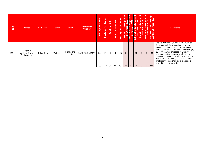| <b>Site</b><br>Ref | <b>Address</b>                                   | <b>Settlement</b>  | <b>Parish</b> | Ward                          | <b>Application</b><br><b>Number</b> | Permitted<br><b>Dwellings</b> | <b>Started</b><br>$\frac{1}{2}$<br><b>Dwellings</b> | <b>UC</b><br><b>Dwellings</b> | Dwellings Completed | Dwellings Left to Be Built | April<br>Hlings<br>1.2020<br>era<br>201<br>Deliv | April<br>lings<br>2021<br>c<br>erat<br>202<br>Deliv | April<br>ellings<br>:h 2022<br>ಹ<br>ਨ<br>Deliverat<br>202 | April<br>ellings<br>:h 2023<br>ñ<br>Deliverable<br>2022-l | April<br>ellings<br>th 2024<br><b>Deliverabl</b><br>2023 | Dwellings<br>rch 2024<br>۱ಕ<br><u>ide</u><br>ō<br>တ<br>Deliv<br>$\overline{201}$<br>走<br><b>Total</b><br>$\Omega$ | <b>Comments</b>                                                                                                                                                                                                                                                                                                                                                                                                                                               |
|--------------------|--------------------------------------------------|--------------------|---------------|-------------------------------|-------------------------------------|-------------------------------|-----------------------------------------------------|-------------------------------|---------------------|----------------------------|--------------------------------------------------|-----------------------------------------------------|-----------------------------------------------------------|-----------------------------------------------------------|----------------------------------------------------------|-------------------------------------------------------------------------------------------------------------------|---------------------------------------------------------------------------------------------------------------------------------------------------------------------------------------------------------------------------------------------------------------------------------------------------------------------------------------------------------------------------------------------------------------------------------------------------------------|
| 3114               | Star Paper Mill,<br>Moulden Brow,<br>Feniscowles | <b>Other Rural</b> | Withnell      | <b>Brindle and</b><br>Hoghton | 15/00475/OUTMAJ                     | 25                            | 25                                                  |                               | $\Omega$            | 25                         | $\mathbf{0}$                                     | $\mathbf{0}$                                        | 22                                                        | $\overline{0}$                                            | $\overline{0}$                                           | 22                                                                                                                | The site falls mainly within the borough of<br>Blackburn with Darwen with a small part<br>located in Chorley borough. It has outline<br>planning permission for up to 500 dwellings,<br>25 of which were proposed in Chorley. A<br>reserved matters planning application is<br>currently under consideration which includes<br>22 dwellings in Chorley. It is likely that these<br>dwellings will be completed in the middle<br>year of the five year period. |
|                    |                                                  |                    |               |                               |                                     | 560                           | 410                                                 | 84                            | 66                  | 494                        | 93                                               | 72                                                  | 71                                                        | 0                                                         | $\mathbf{0}$                                             | 236                                                                                                               |                                                                                                                                                                                                                                                                                                                                                                                                                                                               |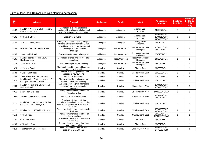# Sites of less than 10 dwellings with planning permission

| <b>Site</b><br><b>Ref</b> | <b>Address</b>                                                     | <b>Proposal</b>                                                                                                                    | <b>Settlement</b> | <b>Parish</b>         | <b>Ward</b>                     | <b>Application</b><br><b>Number</b>          | <b>Dwellings</b><br><b>Permitted</b> | <b>Dwellings</b><br>Left to Be<br><b>Built</b><br>(Net) |
|---------------------------|--------------------------------------------------------------------|------------------------------------------------------------------------------------------------------------------------------------|-------------------|-----------------------|---------------------------------|----------------------------------------------|--------------------------------------|---------------------------------------------------------|
| 3162                      | Land 20m West of 6 Ellerbeck View,<br>Castle House Lane            | Demolition of existing buildings,<br>erection of 6 dwellings and change of<br>use of existing office to bungalow                   | Adlington         | Adlington             | Adlington and<br>Anderton       | 16/00075/FUL                                 | $\overline{7}$                       | $\overline{7}$                                          |
| 3181                      | 59 Church Street                                                   | Erection of 3 dwellings                                                                                                            | Adlington         | Adlington             | Adlington and<br>Anderton       | 15/00215/OUT<br>15/00216/OUT<br>17/00888/OUT | 3                                    | 3                                                       |
| 3447                      | 169-171 Chorley Road                                               | Change of use from dwelling and post<br>office to funeral directors and 3 flats                                                    | Adlington         | Adlington             | Adlington and<br>Anderton       | 18/01093/FUL                                 | 3                                    | $\overline{2}$                                          |
| 3105                      | Hole House Farm, Chorley Road                                      | Demolition of existing farmhouse and<br>outbuildings and erection of 6<br>dwellings                                                | Adlington         | <b>Heath Charnock</b> | Heath Charnock and<br>Rivington | 15/00556/OUT<br>18/00060/FUL                 | 6                                    | 5                                                       |
| 3165                      | 25 Woodville Road                                                  | Conversion of garage to bungalow                                                                                                   | Adlington         | <b>Heath Charnock</b> | Heath Charnock and<br>Rivington | 15/01052/FUL                                 | $\overline{1}$                       | $\mathbf{1}$                                            |
| 3185                      | Land adjacent 3 Mercer Court,<br>Rawlinson Lane                    | Demolition of shed and erection of 2<br>bungalows                                                                                  | Adlington         | <b>Heath Charnock</b> | Heath Charnock and<br>Rivington | 16/00498/FUL                                 | $\overline{2}$                       | $\overline{2}$                                          |
| 3429                      | 113 Chorley Road                                                   | Erection of replacement dwelling                                                                                                   | Adlington         | <b>Heath Charnock</b> | Heath Charnock and<br>Rivington | 18/00140/FUL                                 | $\overline{1}$                       | $\mathbf 0$                                             |
| 2629                      | 21 Yarrow Road                                                     | Change of use of the ground floor from<br>shop to residential                                                                      | Chorley           | Chorley               | Chorley East                    | 10/00655/FUL                                 | $\mathbf{1}$                         | $\mathbf{1}$                                            |
| 2633                      | 6 Weldbank Street                                                  | Demolition of existing extension and<br>erection of new dwelling                                                                   | Chorley           | Chorley               | Chorley South East              | 10/00751/FUL                                 | $\overline{1}$                       | $\mathbf{1}$                                            |
| 2804                      | The Builders Yard, Froom Street                                    | Erection of 4 dwellings                                                                                                            | Chorley           | Chorley               | <b>Chorley East</b>             | 12/00059/FUL                                 | 4                                    | $\overline{4}$                                          |
| 2826                      | Land including Grafton House and The<br>Courtvard, Anderton Street | Change of use from office/storage<br>accommodation to 5 dwellings                                                                  | Chorley           | Chorley               | Chorley South East              | 12/00407/FUL                                 | 3                                    | $\mathbf{1}$                                            |
| 2964                      | Land 20m North of 2 Clover Road,<br>Jackson Road                   | Outline application (with all matters<br>reserved) for the erection of a<br>bungalow                                               | Chorley           | Chorley               | <b>Chorley South West</b>       | 13/00146/OUT<br>16/00980/OUT                 | 1                                    | $\mathbf{1}$                                            |
| 3011                      | 22 St Thomas's Road                                                | Prior approval for change of use of<br>offices to dwelling                                                                         | Chorley           | Chorley               | <b>Chorley North West</b>       | 14/00389/P3PAJ                               | $\mathbf{1}$                         | $\mathbf{1}$                                            |
| 3062                      | Adjacent 23 Guildford Avenue                                       | Erection of detached dwelling                                                                                                      | Chorley           | Chorley               | Chorley North East              | 14/00487/OUT<br>16/00300/FUL                 | $\overline{1}$                       | $\mathbf{1}$                                            |
| 3121                      | Land East of roundabout, adjoining<br>Council car park, George St  | Erection of 3 storey building<br>comprising 2 retail units at ground floor<br>level and 2 apartments at 1st and 2nd<br>floor level | Chorley           | Chorley               | Chorley South East              | 15/00955/FUL                                 | $\overline{2}$                       | $\overline{2}$                                          |
| 3122                      | Land adjoining 43 Weldbank Lane                                    | Outline application for the erection of 2<br>dwellings                                                                             | Chorley           | Chorley               | Chorley South East              | 15/00982/OUT<br>19/00040/OUT                 | $\overline{c}$                       | $\overline{2}$                                          |
| 3153                      | 60 Park Road                                                       | Prior approval for change of use of<br>office to dwelling                                                                          | Chorley           | Chorley               | <b>Chorley North East</b>       | 16/00045/FUL<br>16/00855/P3PAJ               | $\overline{1}$                       | $\mathbf{1}$                                            |
| 3201                      | 64 Brooke Street                                                   | Demolition of building and erection of<br>3 dwellings                                                                              | Chorley           | Chorley               | <b>Chorley East</b>             | 16/00909/FUL                                 | 3                                    | 3                                                       |
| 3203                      | 37 Cowling Brow                                                    | Change of use of ground floor from<br>hairdressers to flat                                                                         | Chorley           | Chorley               | <b>Chorley East</b>             | 13/00757/FUL                                 | $\overline{1}$                       | $\mathbf{1}$                                            |
| 3213                      | The Moor Inn, 26 Moor Road                                         | Demolition of the Moor Inn and<br>erection of 8 apartments                                                                         | Chorley           | Chorley               | Chorley South West              | 16/00953/OUT<br>17/01160/REM                 | 8                                    | 8                                                       |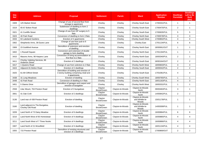| <b>Site</b><br><b>Ref</b> | <b>Address</b>                                          | <b>Proposal</b>                                                                                   | <b>Settlement</b>      | <b>Parish</b>    | <b>Ward</b>                                  | <b>Application</b><br><b>Number</b> | <b>Dwellings</b><br><b>Permitted</b> | <b>Dwellings</b><br>Left to Be<br><b>Built</b><br>(Net) |
|---------------------------|---------------------------------------------------------|---------------------------------------------------------------------------------------------------|------------------------|------------------|----------------------------------------------|-------------------------------------|--------------------------------------|---------------------------------------------------------|
| 3309                      | 125 Market Street                                       | Change of use of second floor from<br>storage to apartment                                        | Chorley                | Chorley          | Chorley South East                           | 17/00331/FUL                        | $\mathbf{1}$                         | $\mathbf{1}$                                            |
| 3319                      | 65-67 Bolton Road                                       | Subdivision of dwelling to form 2<br>dwellings                                                    | Chorley                | Chorley          | <b>Chorley South East</b>                    | 17/00475/FUL                        | $\overline{2}$                       | $\mathbf{1}$                                            |
| 3321                      | 41 Cunliffe Street                                      | Change of use from GP surgery to 5<br>flats                                                       | Chorley                | Chorley          | <b>Chorley South East</b>                    | 17/00635/FUL                        | 5                                    | 5                                                       |
| 3323                      | 40 Park Road                                            | Conversion of dwelling to form 3 flats                                                            | Chorley                | Chorley          | Chorley North East                           | 17/00578/FUL                        | 3                                    | 3                                                       |
| 3333                      | 63 Lakeland Gardens                                     | Erection of 4 apartments                                                                          | Chorley                | Chorley          | <b>Chorley South West</b>                    | 17/00802/FUL                        | 4                                    | $\overline{4}$                                          |
| 3362                      | Shepherds Arms, 38 Eaves Lane                           | Change of use from pub to 6<br>apartments                                                         | Chorley                | Chorley          | Chorley East                                 | 17/01134/FUL                        | 6                                    | 6                                                       |
| 3369                      | 23 Guildford Avenue                                     | Demolition of extension and erection<br>of dwelling                                               | Chorley                | Chorley          | <b>Chorley North East</b>                    | 18/00061/OUT                        | $\mathbf{1}$                         | $\mathbf{1}$                                            |
| 3402                      | 1 Russell Square                                        | Conversion and extension of double<br>garage to form dwelling                                     | Chorley                | Chorley          | <b>Chorley North East</b>                    | 17/01194/FUL                        | $\mathbf{1}$                         | $\mathbf{1}$                                            |
| 3410                      | Masons Arms, 98 Harpers Lane                            | Conversion of living accommodation at<br>first floor to 2 flats                                   | Chorley                | Chorley          | <b>Chorley North East</b>                    | 18/00340/FUL                        | $\overline{2}$                       | $\mathbf{1}$                                            |
| 3411                      | Chorley Valeting Services, 86<br><b>Anderton Street</b> | Erection of 2 dwellings                                                                           | Chorley                | Chorley          | Chorley South East                           | 18/00164/OUT                        | $\overline{2}$                       | $\overline{2}$                                          |
| 3417                      | 1 Queens Road                                           | Change of use from solicitors to 3 flats                                                          | Chorley                | Chorley          | <b>Chorley North West</b>                    | 18/00603/FUL                        | 3                                    | 3                                                       |
| 3424                      | Adjacent 81 Bolton Road                                 | Erection of 2 dwellings                                                                           | Chorley                | Chorley          | Chorley South East                           | 18/00042/FUL                        | $\overline{2}$                       | $\overline{2}$                                          |
| 3425                      | 61-69 Clifford Street                                   | Demolition of building and erection of<br>3 storey building comprising retail and<br>4 apartments | Chorley                | Chorley          | <b>Chorley South East</b>                    | 17/01081/FUL                        | 4                                    | $\overline{4}$                                          |
| 3438                      | 31 Long Meadows                                         | Erection of dwelling                                                                              | Chorley                | Chorley          | <b>Chorley South West</b>                    | 18/00765/FUL                        | $\mathbf{1}$                         | $\mathbf{1}$                                            |
| 3448                      | 42 Park Road                                            | Conversion of dwelling to 4 flats                                                                 | Chorley                | Chorley          | <b>Chorley North East</b>                    | 18/01163/FUL                        | $\overline{4}$                       | 3                                                       |
| 3451                      | 5 Glamis Drive                                          | Demolition of garages and carport and<br>erection of bungalow                                     | Chorley                | Chorley          | <b>Chorley North West</b>                    | 18/00331/FUL                        | $\mathbf{1}$                         | $\mathbf{1}$                                            |
| 2558                      | Lilac Mount, 704 Preston Road                           | Erection of 3 bungalows                                                                           | Clayton<br>Brook/Green | Clayton-le-Woods | Clayton-le-Woods<br><b>North</b>             | 09/00463/FUL                        | 3                                    | $\mathbf{1}$                                            |
| 3061                      | 41 Oak Croft                                            | Erection of 2 dwellings                                                                           | Clayton<br>Brook/Green | Clayton-le-Woods | Clayton-le-Woods<br>North                    | 14/00842/FUL                        | $\overline{c}$                       | $\overline{2}$                                          |
| 3136                      | Land rear of 438 Preston Road                           | Erection of dwelling                                                                              | Clayton<br>Brook/Green | Clayton-le-Woods | Clayton-le-Woods<br>and Whittle-le-<br>Woods | 15/01178/FUL                        | $\mathbf{1}$                         | $\mathbf{1}$                                            |
| 3160                      | Land adjacent to The Bungalow,<br>Chorley Old Road      | Erection of dwelling                                                                              | Clayton<br>Brook/Green | Clayton-le-Woods | Clayton-le-Woods<br>and Whittle-le-<br>Woods | 14/00309/FUL                        | $\mathbf{1}$                         | $\mathbf{1}$                                            |
| 3209                      | Land North of 73 Daisy Meadow                           | Erection of 6 dwellings                                                                           | Clayton<br>Brook/Green | Clayton-le-Woods | Clayton-le-Woods<br>North                    | 16/00884/FUL                        | 6                                    | 6                                                       |
| 3210                      | Land North West of 65 Homestead                         | Erection of 4 dwellings                                                                           | Clayton<br>Brook/Green | Clayton-le-Woods | Clayton-le-Woods<br>North                    | 16/00885/FUL                        | 4                                    | $\overline{4}$                                          |
| 3211                      | Land South West of 7 Three Nooks                        | Erection of 4 dwellings                                                                           | Clayton<br>Brook/Green | Clayton-le-Woods | Clayton-le-Woods<br>North                    | 16/00886/FUL                        | 4                                    | $\overline{4}$                                          |
| 3307                      | Land North of 21 Woodfield                              | Erection of 4 dwellings                                                                           | Clayton<br>Brook/Green | Clayton-le-Woods | Clayton-le-Woods<br>North                    | 16/01134/FUL                        | 4                                    | $\overline{4}$                                          |
| 3355                      | 715 Preston Road                                        | Demolition of existing structures and<br>erection of 2 dwellings                                  | Clayton<br>Brook/Green | Clayton-le-Woods | Clayton-le-Woods<br><b>North</b>             | 17/00869/OUT                        | 2                                    | $\overline{2}$                                          |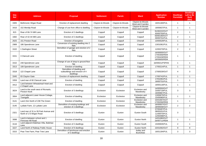| <b>Site</b><br><b>Ref</b> | <b>Address</b>                                                   | <b>Proposal</b>                                                           | <b>Settlement</b> | <b>Parish</b>    | Ward                                 | <b>Application</b><br><b>Number</b>                          | <b>Dwellings</b><br><b>Permitted</b> | <b>Dwellings</b><br>Left to Be<br><b>Built</b><br>(Net) |
|---------------------------|------------------------------------------------------------------|---------------------------------------------------------------------------|-------------------|------------------|--------------------------------------|--------------------------------------------------------------|--------------------------------------|---------------------------------------------------------|
| 3305                      | Bethmond, Wigan Road                                             | Erection of replacement dwelling                                          | Clayton-le-Woods  | Clayton-le-Woods | Clayton-le-Woods<br>West and Cuerden | 16/01180/FUL                                                 | $\mathbf{1}$                         | $\mathbf{1}$                                            |
| 3416                      | 152 Mendip Road                                                  | Change of use from office to dwelling                                     | Clayton-le-Woods  | Clayton-le-Woods | Clayton-le-Woods<br>West and Cuerden | 18/00637/FUL                                                 | $\mathbf{1}$                         | $\mathbf{1}$                                            |
| 815                       | Rear of 66-74 Mill Lane                                          | Erection of 2 dwellings                                                   | Coppull           | Coppull          | Coppull                              | 91/00222/OUT<br>93/00750/FUL                                 | $\overline{c}$                       | $\mathbf{1}$                                            |
| 1682                      | Rear of 42-44 Mill Lane                                          | Erection of 2 dwellings                                                   | Coppull           | Coppull          | Coppull                              | 00/00190/OUT<br>00/00701/FUL                                 | $\overline{2}$                       | $\mathbf{1}$                                            |
| 2625                      | 151 Preston Road                                                 | Erection of bungalow                                                      | Coppull           | Coppull          | Chisnall                             | 10/00529/FUL                                                 | $\mathbf{1}$                         | $\mathbf{1}$                                            |
| 2989                      | 186 Spendmore Lane                                               | Conversion of existing dwelling into 2<br>flats                           | Coppull           | Coppull          | Coppull                              | 13/01081/FUL                                                 | $\overline{2}$                       | $\overline{2}$                                          |
| 3102                      | 1 Darlington Street                                              | Demolition of garage and erection of 2<br>flats                           | Coppull           | Coppull          | Coppull                              | 12/00270/FUL                                                 | $\overline{2}$                       | $\overline{2}$                                          |
| 3151                      | 3 Clancutt Lane                                                  | Erection of dwelling                                                      | Coppull           | Coppull          | Coppull                              | 16/00005/OUT<br>17/00306/REM<br>17/00428/REM<br>18/00600/REM | $\mathbf{1}$                         | -1                                                      |
| 3152                      | 248 Spendmore Lane                                               | Change of use of shop to ground floor<br>flat                             | Coppull           | Coppull          | Coppull                              | 16/00021/P3PAN                                               | $\mathbf{1}$                         | $\mathbf{1}$                                            |
| 3313                      | 108 Spendmore Lane                                               | Erection of dwelling                                                      | Coppull           | Coppull          | Coppull                              | 17/00214/FUL                                                 | $\mathbf{1}$                         | $\mathbf{1}$                                            |
| 3318                      | 122 Chapel Lane                                                  | Demolition of dwelling and<br>outbuildings and erection of 4<br>dwellings | Coppull           | Coppull          | Coppull                              | 17/00529/OUT                                                 | 4                                    | 3                                                       |
| 3345                      | 83 Clayton Gate                                                  | Erection of replacement dwelling                                          | Coppull           | Coppull          | Coppull                              | 17/00742/FUL                                                 | $\overline{1}$                       | $\mathbf{1}$                                            |
| 3359                      | Land rear of 60 Clancutt Lane                                    | Erection of dwelling                                                      | Coppull           | Coppull          | Coppull                              | 17/01091/FUL<br>18/00731/FUL                                 | $\mathbf{1}$                         | $\mathbf{1}$                                            |
| 3412                      | Land between Wheatsheaf Hotel and<br>2 Chapel Lane               | Erection of dwelling                                                      | Coppull           | Coppull          | Coppull                              | 18/00118/FUL                                                 | $\mathbf{1}$                         | $\mathbf{1}$                                            |
| 3024                      | Land to the south west of Ricmarlo.<br><b>Preston Nook</b>       | Erection of 3 dwellings                                                   | Eccleston         | Eccleston        | Eccleston and<br>Mawdesley           | 14/00550/OUT<br>15/00719/FUL<br>16/00667/FUL                 | 3                                    | 3                                                       |
| 3064                      | Land adjacent Lower House Cottage,<br>Towngate                   | Erection of dwelling                                                      | Eccleston         | Eccleston        | Eccleston and<br>Mawdesley           | 13/00675/FUL<br>15/00080/FUL                                 | $\overline{1}$                       | $\mathbf{1}$                                            |
| 3141                      | Land 15m North of 238 The Green                                  | Erection of dwelling                                                      | Eccleston         | Eccleston        | Eccleston and<br>Mawdesley           | 15/01067/OUT<br>17/00266/REM                                 | $\mathbf{1}$                         | $\mathbf{1}$                                            |
| 3145                      | Lydiate Farm, 12 Lydiate Lane                                    | Demolition of existing buildings and<br>erection of 2 dwellings           | Eccleston         | Eccleston        | Eccleston and<br>Mawdesley           | 16/00007/OUT<br>18/00636/OUT                                 | $\overline{2}$                       | $\overline{2}$                                          |
| 2321                      | Land rear of 31 to 39 Park Avenue and<br>North of 173 Wigan Road | Erection of 3 dwellings                                                   | Euxton            | Euxton           | <b>Euxton South</b>                  | 07/00497/FUL<br>08/00201/FUL<br>11/00070/FUL<br>12/00498/FUL | 3                                    | $\mathbf{1}$                                            |
| 3088                      | Land in-between school and 1<br>Primrose Hill Road               | Erection of dwelling                                                      | Euxton            | Euxton           | <b>Euxton North</b>                  | 14/01080/OUT<br>16/00711/REM                                 | $\overline{1}$                       | $\mathbf{1}$                                            |
| 3116                      | Land adjacent Balshaw Villa, Balshaw<br>Lane                     | Erection of 2 dwellings                                                   | Euxton            | Euxton           | Euxton South                         | 15/00635/FUL                                                 | $\overline{2}$                       | $\mathbf{1}$                                            |
| 3227                      | Land North of Railway Public House                               | Erection of 9 dwellings                                                   | Euxton            | Euxton           | <b>Euxton North</b>                  | 15/01092/OUT                                                 | 9                                    | 9                                                       |
| 3315                      | Pear Tree Farm, Pear Tree Lane                                   | Demolition of farmhouse and erection<br>of 3 dwellings                    | Euxton            | Euxton           | Astley and<br><b>Buckshaw</b>        | 16/01184/FUL                                                 | 3                                    | 3                                                       |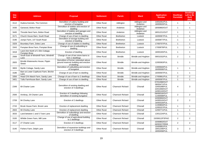| <b>Site</b><br><b>Ref</b> | <b>Address</b>                                   | <b>Proposal</b>                                                                               | <b>Settlement</b>  | <b>Parish</b>           | <b>Ward</b>                | <b>Application</b><br><b>Number</b>                                          | <b>Dwellings</b><br><b>Permitted</b> | <b>Dwellings</b><br>Left to Be<br><b>Built</b><br>(Net) |
|---------------------------|--------------------------------------------------|-----------------------------------------------------------------------------------------------|--------------------|-------------------------|----------------------------|------------------------------------------------------------------------------|--------------------------------------|---------------------------------------------------------|
| 3112                      | Hudora Kennels, The Common                       | Demolition of cattery building and<br>erection of bungalow                                    | <b>Other Rural</b> | Adlington               | Adlington and<br>Anderton  | 14/01051/FUL<br>18/00920/FUL                                                 | $\mathbf{1}$                         | $\mathbf{1}$                                            |
| 3436                      | Garwood, Bolton Road                             | Demolition of stables and erection of<br>dwelling                                             | <b>Other Rural</b> | Anderton                | Adlington and<br>Anderton  | 18/00860/OUT                                                                 | $\overline{1}$                       | $\mathbf{1}$                                            |
| 3445                      | Throstle Nest Farm, Bolton Road                  | Demolition of stables and garages and<br>erection of dwelling                                 | <b>Other Rural</b> | Anderton                | Adlington and<br>Anderton  | 18/01221/OUT                                                                 | $\overline{1}$                       | $\mathbf{1}$                                            |
| 3171                      | Church House Barn, South Road                    | Change of use of barn to dwelling                                                             | Other Rural        | <b>Bretherton</b>       | Lostock                    | 16/00067/FUL                                                                 | $\overline{1}$                       | $\mathbf{1}$                                            |
| 3196                      | Jumps Farm, 147 South Road                       | Demolition of storage building and<br>erection of dwelling                                    | <b>Other Rural</b> | <b>Bretherton</b>       | Lostock                    | 16/00877/FUL                                                                 | $\overline{1}$                       | $\mathbf{1}$                                            |
| 3329                      | Boundary Farm, Doles Lane                        | Change of use of stables to dwelling                                                          | <b>Other Rural</b> | <b>Bretherton</b>       | Lostock                    | 17/00707/FUL                                                                 | $\overline{1}$                       | $\mathbf{1}$                                            |
| 3343                      | Pompian Brow Farm, Pompian Brow                  | Change of use of outbuilding to<br>dwelling                                                   | <b>Other Rural</b> | <b>Bretherton</b>       | Lostock                    | 17/00879/FUL                                                                 | $\overline{1}$                       | $\mathbf{1}$                                            |
| 3418                      | Land 15m North of 1 Elm Cottage,<br>Pompian Brow | Erection of dwelling                                                                          | <b>Other Rural</b> | <b>Bretherton</b>       | Lostock                    | 18/00165/FUL                                                                 | $\mathbf{1}$                         | $\mathbf{1}$                                            |
| 2568                      | South East of Windmill Farm, Windmill<br>Lane    | Change of use of two stone barns to<br>form 2 dwellings                                       | <b>Other Rural</b> | <b>Brindle</b>          | <b>Brindle and Hoghton</b> | 09/01032/FUL                                                                 | $\overline{2}$                       | $\mathbf{1}$                                            |
| 2820                      | Brindle Waterworks House, Pippin<br>Street       | Demolition of former redundant above<br>ground reservoir building and erection<br>of dwelling | <b>Other Rural</b> | <b>Brindle</b>          | <b>Brindle and Hoghton</b> | 12/00363/FUL                                                                 | $\mathbf{1}$                         | $\mathbf{1}$                                            |
| 3003                      | Myrtle Cottage, Sandy Lane                       | Demolition of outbuilding and erection<br>of bungalow                                         | <b>Other Rural</b> | <b>Brindle</b>          | <b>Brindle and Hoghton</b> | 13/00940/FUL<br>16/00006/FUL                                                 | $\overline{1}$                       | $\mathbf{1}$                                            |
| 3186                      | Barn at Lower Copthurst Farm, Birchin<br>Lane    | Change of use of barn to dwelling                                                             | <b>Other Rural</b> | <b>Brindle</b>          | <b>Brindle and Hoghton</b> | 16/00597/FUL                                                                 | $\mathbf{1}$                         | $\mathbf{1}$                                            |
| 3356                      | Head O'th Marsh Farm, Sandy Lane                 | Change of use of barn to 2 dwellings                                                          | <b>Other Rural</b> | <b>Brindle</b>          | Brindle and Hoghton        | 17/00861/FUL                                                                 | $\overline{2}$                       | $\overline{2}$                                          |
| 3401                      | Tullis Farmhouse Barn, Sandy Lane                | Change of use of barn to dwelling                                                             | <b>Other Rural</b> | <b>Brindle</b>          | <b>Brindle and Hoghton</b> | 18/00097/FUL                                                                 | $\overline{1}$                       | $\mathbf{1}$                                            |
| 2348                      | 69 Charter Lane                                  | Demolition of existing dwelling and<br>erection of 4 dwellings                                | <b>Other Rural</b> | <b>Charnock Richard</b> | Chisnall                   | 07/01068/OUT<br>08/00471/FUL<br>10/00298/FUL<br>10/01069/OUT<br>14/00110/OUT | 4                                    | 3                                                       |
| 2506                      | Annbray, 29 Charter Lane                         | Erection of 2 dwellings following<br>demolition of existing bungalow                          | <b>Other Rural</b> | <b>Charnock Richard</b> | Chisnall                   | 09/00016/OUT<br>11/00599/FUL                                                 | $\overline{2}$                       | $\overline{2}$                                          |
| 2709                      | 94 Chorley Lane                                  | Erection of 2 dwellings                                                                       | <b>Other Rural</b> | <b>Charnock Richard</b> | Chisnall                   | 10/00993/OUT<br>14/00510/OUT<br>16/00316/FUL                                 | $\overline{2}$                       | $\overline{2}$                                          |
| 2743                      | Brook House Farm, Brook Lane                     | Erection of replacement dwelling                                                              | <b>Other Rural</b> | <b>Charnock Richard</b> | Chisnall                   | 11/00804/FUL<br>12/00157/FUL                                                 | 1                                    | $\mathbf{1}$                                            |
| 2843                      | 94 Chorley Lane                                  | Erection of replacement dwelling                                                              | <b>Other Rural</b> | <b>Charnock Richard</b> | Chisnall                   | 12/00771/FUL                                                                 | $\overline{1}$                       | $\mathbf{1}$                                            |
| 3033                      | Land between 1 and 5 Town Lane                   | Demolition of outbuildings and erection<br>of dwelling                                        | <b>Other Rural</b> | <b>Charnock Richard</b> | Chisnall                   | 13/01224/FUL                                                                 | $\overline{1}$                       | $\mathbf{1}$                                            |
| 3100                      | Whittle Green Farm, Mill Lane                    | Change of use of agricultural building<br>to 2 dwellings                                      | <b>Other Rural</b> | <b>Charnock Richard</b> | Chisnall                   | 15/00612/P3PAO                                                               | $\overline{2}$                       | $\overline{2}$                                          |
| 3117                      | 27 Charter Lane                                  | Erection of 2 dwellings                                                                       | <b>Other Rural</b> | <b>Charnock Richard</b> | Chisnall                   | 15/00863/OUT<br>16/00327/REM                                                 | $\overline{2}$                       | $\overline{2}$                                          |
| 3140                      | Fishers Farm, Delph Lane                         | Demolition of equestrian buildings and<br>erection of 3 dwellings                             | <b>Other Rural</b> | <b>Charnock Richard</b> | Chisnall                   | 15/00991/FUL<br>18/01206/FUL<br>18/00458/FUL                                 | 3                                    | 3                                                       |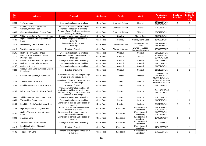| <b>Site</b><br><b>Ref</b> | <b>Address</b>                                           | <b>Proposal</b>                                                                                                                                     | <b>Settlement</b>  | <b>Parish</b>           | Ward                                 | <b>Application</b><br><b>Number</b>             | <b>Dwellings</b><br><b>Permitted</b> | <b>Dwellings</b><br>Left to Be<br><b>Built</b><br>(Net) |
|---------------------------|----------------------------------------------------------|-----------------------------------------------------------------------------------------------------------------------------------------------------|--------------------|-------------------------|--------------------------------------|-------------------------------------------------|--------------------------------------|---------------------------------------------------------|
| 3200                      | 71 Town Lane                                             | Erection of replacement dwelling                                                                                                                    | <b>Other Rural</b> | <b>Charnock Richard</b> | Chisnall                             | 16/00903/FUL<br>17/00488/FUL                    | $\mathbf{1}$                         | $\mathbf{1}$                                            |
| 3331                      | Land to the rear of Whittle Bar<br>Cottage, Preston Road | Demolition of stables, tack room and<br>stores and erection of dwelling                                                                             | <b>Other Rural</b> | <b>Charnock Richard</b> | Chisnall                             | 17/00683/FUL                                    | $\mathbf{1}$                         | $\mathbf{1}$                                            |
| 3366                      | Charnock Brow Barn, Preston Road                         | Change of use of golf course storage<br>building to dwelling                                                                                        | <b>Other Rural</b> | <b>Charnock Richard</b> | Chisnall                             | 17/01223/FUL                                    | $\mathbf{1}$                         | $\mathbf{1}$                                            |
| 2842                      | White House Farm, Crosse Hall Lane                       | Change of use of barn to dwelling                                                                                                                   | <b>Other Rural</b> | Chorley                 | <b>Chorley East</b>                  | 12/00748/FUL                                    | $\mathbf{1}$                         | $\mathbf{1}$                                            |
| 3430                      | Higher Healey Farm, Higher House<br>Lane                 | Erection of agricultural workers<br>dwelling                                                                                                        | <b>Other Rural</b> | Chorley                 | <b>Chorley North East</b>            | 16/01021/OUT                                    | $\mathbf{1}$                         | $\mathbf{1}$                                            |
| 3316                      | Hawksclough Farm, Preston Road                           | Change of use of 2 barns to 2<br>dwellings                                                                                                          | <b>Other Rural</b> | Clayton-le-Woods        | Clayton-le-Woods<br>North            | 16/01194/FUL<br>16/01195/FUL                    | $\overline{c}$                       | $\overline{2}$                                          |
| 3418                      | West Levens, Moss Lane                                   | Erection of dwelling                                                                                                                                | <b>Other Rural</b> | Clayton-le-Woods        | Clayton-le-Woods<br>West and Cuerden | 18/00530/OUT                                    | $\mathbf{1}$                         | $\mathbf{1}$                                            |
| 2105                      | Highfield Farm, Jolly Tar Lane                           | Erection of replacement dwelling                                                                                                                    | <b>Other Rural</b> | Coppull                 | Coppull                              | 05/00188/FUL                                    | $\mathbf{1}$                         | $\mathbf{1}$                                            |
| 3111                      | Preston Road Methodist Church,<br>Preston Road           | Demolition of church and erection of 2<br>dwellings                                                                                                 | <b>Other Rural</b> | Coppull                 | Chisnall                             | 14/00969/OUT<br>18/00579/REM                    | $\overline{2}$                       | $\overline{2}$                                          |
| 3115                      | Lowes Tenement Farm, Burgh Lane                          | Change of use of barn to dwelling                                                                                                                   | <b>Other Rural</b> | Coppull                 | Coppull                              | 15/00488/FUL                                    | $\mathbf{1}$                         | $\mathbf{1}$                                            |
| 3180                      | Highfield House, Jolly Tar Lane                          | Erection of replacement dwelling                                                                                                                    | <b>Other Rural</b> | Coppull                 | Coppull                              | 16/00622/FUL                                    | $\mathbf{1}$                         | $\mathbf{1}$                                            |
| 3187                      | 84 Clancutt Lane                                         | Erection of replacement dwelling                                                                                                                    | <b>Other Rural</b> | Coppull                 | Coppull                              | 16/00743/FUL                                    | $\overline{1}$                       | $\mathbf{1}$                                            |
| 3228                      | Coppull Moor Lane Nurseries, Coppull<br>Moor Lane        | Erection of dwelling                                                                                                                                | <b>Other Rural</b> | Coppull                 | Coppull                              | 15/01098/FUL                                    | $\mathbf{1}$                         | $\mathbf{1}$                                            |
| 1716                      | Croston Hall Stables, Grape Lane                         | Erection of dwelling including change<br>of use of existing stable block                                                                            | <b>Other Rural</b> | Croston                 | Lostock                              | 00/00488/COU<br>04/01443/FUL<br>15/00540/FULMAJ | $\mathbf{1}$                         | $\mathbf{1}$                                            |
| 3124                      | The Mill Hotel, Moor Road                                | Demolition of hotel and restaurant and<br>erection of 7 dwellings                                                                                   | <b>Other Rural</b> | Croston                 | Lostock                              | 14/00761/OUTMAJ<br>16/00452/OUTMAJ              | $\overline{7}$                       | $\overline{7}$                                          |
| 3193                      | Land between 55 and 61 Moor Road                         | Erection of dwelling                                                                                                                                | <b>Other Rural</b> | Croston                 | Lostock                              | 16/00824/FUL                                    | $\mathbf{1}$                         | $\mathbf{1}$                                            |
| 3206                      | Drinkhouse Farm, Drinkhouse Road                         | Prior approval for change of use of<br>agricultural building to dwelling and<br>demolition of agricultural buildings and<br>erection of 4 dwellings | <b>Other Rural</b> | Croston                 | Lostock                              | 16/01102/P3PAO<br>16/00601/FUL                  | 5                                    | 5                                                       |
| 3336                      | Withington Barn Farm, Finney Lane                        | Change of use of barn to dwelling                                                                                                                   | <b>Other Rural</b> | Croston                 | Lostock                              | 17/00592/FUL                                    | $\mathbf{1}$                         | $\mathbf{1}$                                            |
| 3350                      | The Stables, Grape Lane                                  | Erection of replacement dwelling                                                                                                                    | <b>Other Rural</b> | Croston                 | Lostock                              | 16/01029/FUL                                    | $\mathbf{1}$                         | $\mathbf{0}$                                            |
| 3400                      | Land 35m South West of Moor Road                         | Demolition of stables and erection of<br>dwelling                                                                                                   | <b>Other Rural</b> | Croston                 | Lostock                              | 17/01219/FUL                                    | $\mathbf{1}$                         | $\mathbf{1}$                                            |
| 3142                      | High Heyes Farm, Langton Brow                            | Demolition of kennels/workshop and<br>erection of dwelling                                                                                          | <b>Other Rural</b> | Eccleston               | Eccleston and<br>Mawdesley           | 15/01085/FUL<br>17/00539/FUL                    | $\mathbf{1}$                         | $\mathbf{1}$                                            |
| 3191                      | Stables West of Verona, Wrennals<br>Lane                 | Demolition of store and stables and<br>erection of bungalow                                                                                         | <b>Other Rural</b> | Eccleston               | Eccleston and<br>Mawdesley           | 16/00668/FUL<br>17/00780/FUL                    | $\mathbf{1}$                         | $\mathbf{1}$                                            |
| 3308                      | 1 Lydiate Lane                                           | Demolition of garage and erection of<br>dwelling                                                                                                    | <b>Other Rural</b> | Eccleston               | Eccleston and<br>Mawdesley           | 16/01047/OUT                                    | $\mathbf{1}$                         | $\mathbf{1}$                                            |
| 3312                      | Sarscow Farm, Sarscow Lane                               | Change of use of barn to dwelling                                                                                                                   | <b>Other Rural</b> | Eccleston               | Eccleston and<br>Mawdesley           | 17/00239/FUL                                    | $\mathbf{1}$                         | $\mathbf{1}$                                            |
| 3415                      | Land South West of Glendale,<br><b>Tincklers Lane</b>    | Erection of dwelling                                                                                                                                | <b>Other Rural</b> | Eccleston               | Eccleston and<br>Mawdesley           | 17/01076/OUT                                    | $\mathbf{1}$                         | $\mathbf{1}$                                            |
| 3431                      | Trigfan, Parr Lane                                       | Demolition of buildings and erection of<br>2 dwellings                                                                                              | <b>Other Rural</b> | Eccleston               | Eccleston and<br>Mawdesley           | 17/00538/FUL                                    | $\overline{2}$                       | $\overline{2}$                                          |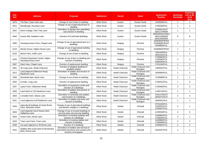| <b>Site</b><br><b>Ref</b> | <b>Address</b>                                                | <b>Proposal</b>                                                                                       | <b>Settlement</b>  | <b>Parish</b>         | <b>Ward</b>                     | <b>Application</b><br><b>Number</b>              | <b>Dwellings</b><br><b>Permitted</b> | <b>Dwellings</b><br>Left to Be<br><b>Built</b><br>(Net) |
|---------------------------|---------------------------------------------------------------|-------------------------------------------------------------------------------------------------------|--------------------|-----------------------|---------------------------------|--------------------------------------------------|--------------------------------------|---------------------------------------------------------|
| 3079                      | The Barn, Dean Hall Lane                                      | Change of use of barn to dwelling                                                                     | <b>Other Rural</b> | Euxton                | <b>Euxton South</b>             | 15/00058/FUL                                     | $\overline{1}$                       | $\mathbf{1}$                                            |
| 3311                      | Wyndburgh, Runshaw Lane                                       | Change of use of agricultural barn to<br>dwelling                                                     | <b>Other Rural</b> | Euxton                | Euxton North                    | 17/00269/FUL                                     | $\overline{1}$                       | $\mathbf{1}$                                            |
| 3342                      | Dene Cottage, Pear Tree Lane                                  | Demolition of garage and outbuilding<br>and erection of dwelling                                      | <b>Other Rural</b> | Euxton                | Euxton South                    | 17/00911/OUT<br>18/01174/REM                     | $\overline{1}$                       | $\mathbf{1}$                                            |
| 3440                      | Euxton Mill, Dawbers Lane                                     | Erection of 8 self-build dwellings                                                                    | <b>Other Rural</b> | Euxton                | Euxton South                    | 15/00162/OUTMAJ<br>18/01150/REM<br>18/01193/REM  | 8                                    | 8                                                       |
| 3090                      | Garstang House Farm, Chapel Lane                              | Change of use of agricultural barn to 2<br>dwellings                                                  | <b>Other Rural</b> | Heapey                | Pennine                         | 15/00355/P3PAO<br>15/00958/P3PAO<br>16/00683/FUL | $\mathbf{2}$                         | $\overline{2}$                                          |
| 3119                      | Moody House, Higher House Lane                                | Change of use of agricultural building<br>to dwelling                                                 | <b>Other Rural</b> | Heapey                | Pennine                         | 15/00894/P3PAO                                   | $\overline{1}$                       | $\mathbf{1}$                                            |
| 3133                      | Morris Farm, Hollin Lane                                      | Change of use of barn to dwelling                                                                     | <b>Other Rural</b> | Heapey                | Pennine                         | 14/01303/FUL<br>18/01191/FUL                     | $\overline{1}$                       | $\mathbf{1}$                                            |
| 3225                      | Chorley Equestrian Centre, Higher<br>Garstang House Farm      | Change of use of barn to dwelling and<br>erection of dwelling                                         | <b>Other Rural</b> | Heapey                | Pennine                         | 17/00003/FUL<br>17/00382/FUL<br>18/00262/FUL     | $\overline{2}$                       | $\overline{2}$                                          |
| 3367                      | West View, Chapel Lane                                        | Erection of replacement dwelling                                                                      | <b>Other Rural</b> | Heapey                | Pennine                         | 17/01183/FUL                                     | $\mathbf{1}$                         | $\mathbf{1}$                                            |
| 2961                      | 26 Long Lane, Heath Charnock                                  | Erection of adapted dwelling for<br>disabled relative                                                 | <b>Other Rural</b> | <b>Heath Charnock</b> | Heath Charnock and<br>Rivington | 13/00631/FUL                                     | $\mathbf{1}$                         | $\mathbf{1}$                                            |
| 3212                      | Land adjacent Gilbertson Road,<br>Rawlinson Lane              | Demolition of stables and erection of<br>dwelling                                                     | Other Rural        | <b>Heath Charnock</b> | Heath Charnock and<br>Rivington | 16/00905/FUL                                     | $\overline{1}$                       | $\mathbf{1}$                                            |
| 3330                      | Woodside Barn, Back Lane                                      | Change of use of barn to dwelling                                                                     | <b>Other Rural</b> | <b>Heath Charnock</b> | Heath Charnock and<br>Rivington | 17/00689/FUL                                     | $\overline{1}$                       | $\mathbf{1}$                                            |
| 3332                      | Arnside, Long Lane                                            | Erection of replacement dwelling                                                                      | <b>Other Rural</b> | <b>Heath Charnock</b> | Heath Charnock and<br>Rivington | 17/00412/FUL                                     | $\mathbf{1}$                         | $\mathbf 0$                                             |
| 3337                      | Liptrot Farm, Gilbertson Road                                 | Demolition of equestrian centre and<br>erection of 3 dwellings                                        | <b>Other Rural</b> | <b>Heath Charnock</b> | Heath Charnock and<br>Rivington | 17/00483/FUL                                     | 3                                    | 3                                                       |
| 3346                      | Land North of 125 Rawlinson Lane                              | Demolition of stables and erection of<br>dwelling                                                     | <b>Other Rural</b> | <b>Heath Charnock</b> | Heath Charnock and<br>Rivington | 17/00719/FUL                                     | $\mathbf{1}$                         | $\mathbf{1}$                                            |
| 3363                      | Lonsdale Farm, Slacks Lane                                    | Demolition of workshop and stables<br>and erection of 2 dwellings                                     | <b>Other Rural</b> | <b>Heath Charnock</b> | Heath Charnock and<br>Rivington | 17/01170/OUT<br>18/00472/OUT                     | $\overline{2}$                       | $\overline{2}$                                          |
| 3441                      | Land adjacent to 60 Rawlinson Lane                            | Demolition of stables and store and<br>erection of dwelling                                           | <b>Other Rural</b> | <b>Heath Charnock</b> | Heath Charnock and<br>Rivington | 18/00912/FUL                                     | $\mathbf{1}$                         | $\mathbf{1}$                                            |
| 2418                      | Agricultural buildings at Howe Brook<br>Farm, Bannister Green | Change of use of agricultural buildings<br>and derelict cottage to 2 dwellings                        | <b>Other Rural</b> | Heskin                | Chisnall                        | 07/01340/FUL<br>12/00915/FUL<br>12/00917/FUL     | $\overline{2}$                       | $\mathbf{1}$                                            |
| 2833                      | Land opposite Hurst House Farm,<br>Halfpenny Lane             | Change of use of unused buildings to<br>one live-work unit and one dwelling                           | <b>Other Rural</b> | Heskin                | Chisnall                        | 12/00539/FUL                                     | $\overline{2}$                       | $\overline{2}$                                          |
| 3034                      | Green Farm, Wood Lane                                         | Demolition of existing buildings and<br>erection of 3 dwellings                                       | <b>Other Rural</b> | <b>Heskin</b>         | Chisnall                        | 14/00952/FUL<br>17/00032/FUL                     | 3                                    | $\mathbf{1}$                                            |
| 3103                      | Town Lane Farm, Town Lane                                     | Demolition of existing stables and<br>erection of dwelling                                            | <b>Other Rural</b> | Heskin                | Chisnall                        | 14/00982/FUL<br>17/00599/FUL                     | $\overline{c}$                       | $\overline{2}$                                          |
| 3108                      | Car park adjacent to 48 Wood Lane                             | Erection of 2 dwellings                                                                               | <b>Other Rural</b> | Heskin                | Chisnall                        | 15/00661/FUL                                     | $\overline{\mathbf{c}}$              | $\overline{2}$                                          |
| 3131                      | Stables 40m south west of Horsemans<br>Barn, Wood Lane        | Demolition of stables and removal of<br>associated structures and caravan and<br>erection of bungalow | <b>Other Rural</b> | Heskin                | Chisnall                        | 15/01027/FUL                                     | $\mathbf{1}$                         | $\mathbf{1}$                                            |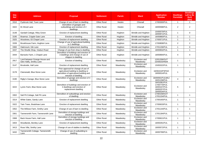| <b>Site</b><br><b>Ref</b> | <b>Address</b>                                           | <b>Proposal</b>                                                                                                                                | <b>Settlement</b>  | <b>Parish</b> | <b>Ward</b>                | <b>Application</b><br><b>Number</b>                                          | <b>Dwellings</b><br><b>Permitted</b> | <b>Dwellings</b><br>Left to Be<br><b>Built</b><br>(Net) |
|---------------------------|----------------------------------------------------------|------------------------------------------------------------------------------------------------------------------------------------------------|--------------------|---------------|----------------------------|------------------------------------------------------------------------------|--------------------------------------|---------------------------------------------------------|
| 3310                      | Pyebrook Hall, Town Lane                                 | Change of use of barn to dwelling                                                                                                              | <b>Other Rural</b> | Heskin        | Chisnall                   | 17/00300/FUL                                                                 | $\mathbf{1}$                         | $\mathbf{1}$                                            |
| 3422                      | 81 Wood Lane                                             | Demolition of garages and<br>outbuildings and erection of 2<br>dwellings                                                                       | <b>Other Rural</b> | Heskin        | Chisnall                   | 18/00598/FUL                                                                 | $\overline{2}$                       | $\overline{2}$                                          |
| 3148                      | Sandall Cottage, Riley Green                             | Erection of replacement dwelling                                                                                                               | <b>Other Rural</b> | Hoghton       | Brindle and Hoghton        | 15/00570/FUL<br>18/00971/FUL                                                 | $\mathbf{1}$                         | $\mathbf 0$                                             |
| 3195                      | Braemar, Cripple Gate Lane                               | Erection of dwelling                                                                                                                           | <b>Other Rural</b> | Hoghton       | <b>Brindle and Hoghton</b> | 16/00860/FUL                                                                 | $\mathbf{1}$                         | $\mathbf{1}$                                            |
| 3325                      | Woodview, 63 Chapel Lane                                 | Erection of replacement dwelling                                                                                                               | <b>Other Rural</b> | Hoghton       | Brindle and Hoghton        | 17/00571/FUL                                                                 | 1                                    | $\mathbf{1}$                                            |
| 3339                      | Brookhouse Farm, Hoghton Lane                            | Change of use of agricultural building<br>to 2 dwellings                                                                                       | <b>Other Rural</b> | Hoghton       | <b>Brindle and Hoghton</b> | 17/00808/FUL                                                                 | $\overline{2}$                       | 2                                                       |
| 3360                      | Oakmount, Gib Lane                                       | Erection of replacement dwelling                                                                                                               | <b>Other Rural</b> | Hoghton       | <b>Brindle and Hoghton</b> | 17/01156/FUL                                                                 | $\mathbf{1}$                         | $\mathbf 0$                                             |
| 3437                      | The Shuttle Shop, Viaduct Road                           | Change of use from shop to dwelling                                                                                                            | <b>Other Rural</b> | Hoghton       | <b>Brindle and Hoghton</b> | 18/00832/FUL                                                                 | $\mathbf{1}$                         | $\mathbf{1}$                                            |
| 3444                      | Barracks Farm, 1 Chapel Lane                             | Demolition of buildings and erection of<br>3 dwellings and change of use of<br>shippon to dwelling                                             | <b>Other Rural</b> | Hoghton       | <b>Brindle and Hoghton</b> | 18/00894/FUL                                                                 | $\overline{4}$                       | $\overline{4}$                                          |
| 2917                      | Land between Grange House and<br>Glen Haffy, Smithy Lane | Erection of dwelling                                                                                                                           | <b>Other Rural</b> | Mawdesley     | Eccleston and<br>Mawdeslev | 12/01206/OUT<br>15/00025/REM                                                 | $\mathbf{1}$                         | $\mathbf{1}$                                            |
| 3147                      | Brookside, Hall Lane                                     | Erection of replacement dwelling                                                                                                               | Other Rural        | Mawdesley     | Eccleston and<br>Mawdesley | 15/00322/FUL                                                                 | $\mathbf{1}$                         | $\mathbf{1}$                                            |
| 3178                      | Clanranald, Blue Stone Lane                              | Prior approval for change of use of<br>agricultural building to dwelling or<br>demolition of agricultural building and<br>erection of dwelling | <b>Other Rural</b> | Mawdesley     | Eccleston and<br>Mawdesley | 16/00415/P3PAO<br>18/00014/FUL                                               | 1                                    | $\mathbf{1}$                                            |
| 3190                      | Rigby's Garage, Blue Stone Lane                          | Demolition of garage and erection of 4<br>dwellings                                                                                            | <b>Other Rural</b> | Mawdesley     | Eccleston and<br>Mawdesley | 16/00591/FULMAJ<br>16/01158/FUL                                              | $\overline{4}$                       | $\overline{4}$                                          |
| 3222                      | Lynric Farm, Blue Stone Lane                             | Demolition of buildings and erection of<br>4 dwellings and erection of<br>replacement dwelling                                                 | <b>Other Rural</b> | Mawdesley     | Eccleston and<br>Mawdesley | 16/01061/FUL<br>17/00770/FUL<br>18/00107/FUL<br>18/00257/FUL<br>18/00534/FUL | 5                                    | 4                                                       |
| 3302                      | Salt Pit Cottage, Salt Pit Lane                          | Demolition of outbuildings and erection<br>of dwelling                                                                                         | <b>Other Rural</b> | Mawdesley     | Eccleston and<br>Mawdesley | 17/00159/OUT<br>17/01154/FUL                                                 | $\mathbf{1}$                         | $\mathbf{1}$                                            |
| 3314                      | White Gates, Sandy Lane                                  | Erection of replacement dwelling                                                                                                               | <b>Other Rural</b> | Mawdesley     | Eccleston and<br>Mawdesley | 17/00165/FUL                                                                 | $\mathbf{1}$                         | $\mathbf{1}$                                            |
| 3322                      | Twin Trees. Bradshaw Lane                                | Erection of replacement dwelling                                                                                                               | <b>Other Rural</b> | Mawdesley     | Eccleston and<br>Mawdesley | 17/00633/FUL                                                                 | $\mathbf{1}$                         | $\mathbf{1}$                                            |
| 3352                      | The Willows Farm, Smithy Lane                            | Change of use of barn to dwelling                                                                                                              | <b>Other Rural</b> | Mawdesley     | Eccleston and<br>Mawdesley | 17/01144/FUL                                                                 | $\mathbf{1}$                         | $\mathbf{1}$                                            |
| 3361                      | Tannersmith Farm, Tannersmith Lane                       | Demolition of storage buildings and<br>erection of dwelling                                                                                    | <b>Other Rural</b> | Mawdesley     | Eccleston and<br>Mawdesley | 17/01184/FUL                                                                 | $\mathbf{1}$                         | $\mathbf{1}$                                            |
| 3368                      | Back House Farm, Hall Lane                               | Demolition of storage buildings and<br>erection of dwelling                                                                                    | <b>Other Rural</b> | Mawdesley     | Eccleston and<br>Mawdesley | 17/00621/FUL                                                                 | $\mathbf{1}$                         | $\mathbf{1}$                                            |
| 3404                      | Woodlands, Bentley Lane                                  | Erection of replacement dwelling                                                                                                               | <b>Other Rural</b> | Mawdesley     | Eccleston and<br>Mawdesley | 18/00291/FUL                                                                 | $\mathbf{1}$                         | $\mathbf{1}$                                            |
| 3413                      | Rose Villa, Smithy Lane                                  | Change of use of stables to dwelling                                                                                                           | <b>Other Rural</b> | Mawdesley     | Eccleston and<br>Mawdesley | 18/00572/FUL                                                                 | $\mathbf{1}$                         | $\mathbf{1}$                                            |
| 3432                      | Tannersmith Cottage, Tannersmith<br>Lane                 | Change of use of outbuilding to<br>dwelling                                                                                                    | <b>Other Rural</b> | Mawdesley     | Eccleston and<br>Mawdesley | 18/00799/FUL                                                                 | $\mathbf{1}$                         | $\mathbf{1}$                                            |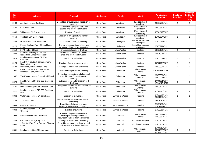| <b>Site</b><br><b>Ref</b> | <b>Address</b>                                                      | <b>Proposal</b>                                                                                          | <b>Settlement</b>  | <b>Parish</b>       | Ward                            | <b>Application</b><br><b>Number</b>          | <b>Dwellings</b><br><b>Permitted</b> | <b>Dwellings</b><br>Left to Be<br><b>Built</b><br>(Net) |
|---------------------------|---------------------------------------------------------------------|----------------------------------------------------------------------------------------------------------|--------------------|---------------------|---------------------------------|----------------------------------------------|--------------------------------------|---------------------------------------------------------|
| 3434                      | Jay Bank House, Jay Bank                                            | Demolition of buildings and erection of<br>dwelling                                                      | <b>Other Rural</b> | Mawdesley           | Eccleston and<br>Mawdesley      | 18/00708/FUL                                 | $\overline{1}$                       | $\mathbf{1}$                                            |
| 3439                      | 67 Gorsey Lane                                                      | Demolition of garages, store and<br>stables and erection of dwelling                                     | <b>Other Rural</b> | Mawdesley           | Eccleston and<br>Mawdesley      | 18/00361/FUL                                 | $\overline{1}$                       | $\mathbf{1}$                                            |
| 3446                      | Whitegates, 75 Gorsey Lane                                          | Erection of dwelling                                                                                     | <b>Other Rural</b> | Mawdesley           | Eccleston and<br>Mawdesley      | 18/01212/OUT                                 | $\overline{1}$                       | $\mathbf{1}$                                            |
| 3450                      | Tootles Farm, Bentley Lane                                          | Erection of an agricultural workers<br>dwelling                                                          | <b>Other Rural</b> | Mawdesley           | Eccleston and<br>Mawdesley      | 18/01004/OUT                                 | $\overline{1}$                       | $\mathbf{1}$                                            |
| 2852                      | Morris Barn, Dean Head Lane                                         | Conversion of barn to dwelling                                                                           | <b>Other Rural</b> | Rivington           | Heath Charnock and<br>Rivington | 12/00949/FUL                                 | $\overline{1}$                       | $\mathbf{1}$                                            |
| 3128                      | Moses Cockers Farm, Sheep House<br>Lane                             | Change of use, part demolition and<br>extension of barn to form dwelling                                 | <b>Other Rural</b> | Rivington           | Heath Charnock and<br>Rivington | 15/00972/FUL                                 | $\overline{1}$                       | $\mathbf{1}$                                            |
| 2512                      | 267 Southport Road                                                  | Erection replacement dwelling                                                                            | <b>Other Rural</b> | <b>Ulnes Walton</b> | Lostock                         | 09/00151/FUL                                 | $\overline{1}$                       | $\mathbf{1}$                                            |
| 3202                      | Land and buildings to the rear of<br>Netherfield, Ulnes Walton Lane | Demolition of stable block and timber<br>shed and erection of dwelling                                   | <b>Other Rural</b> | <b>Ulnes Walton</b> | Lostock                         | 16/01024/FUL                                 | $\mathbf{1}$                         | $\mathbf{1}$                                            |
| 3324                      | Land Between 35 and 37 Wray<br>Crescent                             | Erection of 2 dwellings                                                                                  | <b>Other Rural</b> | <b>Ulnes Walton</b> | Lostock                         | 17/00569/FUL                                 | 2                                    | $\overline{2}$                                          |
| 3420                      | Land 70m South of Garstang Farm,<br><b>Ulnes Walton Lane</b>        | Erection of rural workers dwelling                                                                       | <b>Other Rural</b> | <b>Ulnes Walton</b> | Lostock                         | 17/00940/OUT                                 | $\overline{1}$                       | $\mathbf{1}$                                            |
| 3423                      | Dorbaricia. Ulnes Walton Lane                                       | Change of use of barn to dwelling                                                                        | <b>Other Rural</b> | <b>Ulnes Walton</b> | Lostock                         | 18/00396/FUL                                 | $\overline{1}$                       | $\mathbf{1}$                                            |
| 2901                      | Close Gate Farm and land to rear<br>Buckholes Lane, Wheelton        | Erection of replacement dwelling                                                                         | <b>Other Rural</b> | Wheelton            | Wheelton and<br>Withnell        | 12/01158/FULMAJ                              | $\overline{1}$                       | $\mathbf{1}$                                            |
| 2942                      | The Engine House, Brinscall Mill Road                               | Renovation, extension and change of<br>use of former Engine House to<br>dwelling                         | <b>Other Rural</b> | Wheelton            | Wheelton and<br>Withnell        | 13/00390/FUL<br>16/00559/FUL                 | $\overline{1}$                       | $\mathbf{1}$                                            |
| 3073                      | Land between 386 and 392 Blackburn<br>Road                          | Outline application for erection of 2<br>dwellings                                                       | <b>Other Rural</b> | Wheelton            | Wheelton and<br>Withnell        | 14/00601/OUT<br>18/00240/REM                 | $\overline{c}$                       | $\overline{2}$                                          |
| 3405                      | Wheelton Lodge Farm, Harbour Lane                                   | Change of use of barns and shippon to<br>dwelling                                                        | <b>Other Rural</b> | Wheelton            | Wheelton and<br>Withnell        | 18/00121/FUL                                 | $\overline{1}$                       | $\mathbf{1}$                                            |
| 3427                      | Land to the rear of 378-386 Blackburn<br>Road                       | Erection of 8 dwellings                                                                                  | <b>Other Rural</b> | Wheelton            | Wheelton and<br>Withnell        | 16/00575/OUT                                 | 8                                    | 8                                                       |
| 3048                      | Waterstone House, 1A Dark Lane                                      | Erection of 2 dwellings                                                                                  | <b>Other Rural</b> | Whittle-le-Woods    | Pennine                         | 14/00966/FUL<br>15/01185/FUL                 | $\overline{2}$                       | $\overline{2}$                                          |
| 3166                      | 145 Town Lane                                                       | Demolition of extensions and erection<br>of dwelling                                                     | <b>Other Rural</b> | Whittle-le-Woods    | Pennine                         | 15/01057/FUL                                 | $\overline{1}$                       | $\mathbf{1}$                                            |
| 3334                      | 68 Blackburn Road                                                   | Demolition of stables and store<br>buildings and erection of dwelling                                    | <b>Other Rural</b> | Whittle-le-Woods    | Pennine                         | 17/00739/FUL<br>17/01124/FUL                 | $\overline{1}$                       | $\mathbf{1}$                                            |
| 3344                      | Land adjacent to 26/28 Spring<br>Crescent                           | Erection of dwelling                                                                                     | <b>Other Rural</b> | Whittle-le-Woods    | Pennine                         | 17/00815/FUL                                 | $\overline{1}$                       | $\mathbf{1}$                                            |
| 3096                      | Brinscall Hall Farm, Dick Lane                                      | Erection of agricultural workers<br>dwelling and change of use of<br>redundant barns to form 6 dwellings | <b>Other Rural</b> | Withnell            | Wheelton and<br>Withnell        | 14/00975/FUL<br>14/00881/FUL                 | $\overline{7}$                       | $\overline{7}$                                          |
| 3335                      | Old Olivers Farm, Bury Lane                                         | Change of use of barn to dwelling                                                                        | <b>Other Rural</b> | Withnell            | Brindle and Hoghton             | 17/00602/FUL                                 | $\overline{1}$                       | $\mathbf{1}$                                            |
| 3340                      | 2 Ollerton Fold Farm Cottage, Ollerton<br>Lane                      | Demolition of commercial dog kennel<br>building and erection of dwelling                                 | <b>Other Rural</b> | Withnell            | <b>Brindle and Hoghton</b>      | 17/00963/FUL                                 | $\overline{1}$                       | $\mathbf{1}$                                            |
| 3351                      | Land adjacent to 8 Miller Avenue                                    | Erection of 9 dwellings                                                                                  | <b>Other Rural</b> | Withnell            | Wheelton and<br>Withnell        | 17/00913/OUT<br>17/00225/OUT<br>18/00800/OUT | 9                                    | 9                                                       |